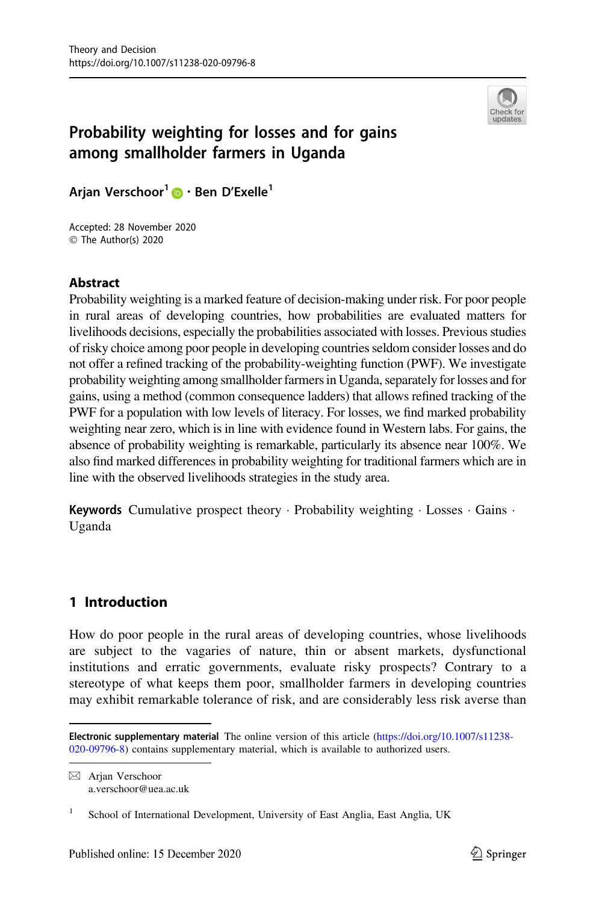

# <span id="page-0-0"></span>Probability weighting for losses and for gains among smallholder farmers in Uganda

Arjan Verschoor<sup>1</sup>  $\bullet$  · Ben D'Exelle<sup>1</sup>

Accepted: 28 November 2020  $\circledcirc$  The Author(s) 2020

## Abstract

Probability weighting is a marked feature of decision-making under risk. For poor people in rural areas of developing countries, how probabilities are evaluated matters for livelihoods decisions, especially the probabilities associated with losses. Previous studies of risky choice among poor people in developing countries seldom consider losses and do not offer a refined tracking of the probability-weighting function (PWF). We investigate probability weighting among smallholder farmers in Uganda, separately for losses and for gains, using a method (common consequence ladders) that allows refined tracking of the PWF for a population with low levels of literacy. For losses, we find marked probability weighting near zero, which is in line with evidence found in Western labs. For gains, the absence of probability weighting is remarkable, particularly its absence near 100%. We also find marked differences in probability weighting for traditional farmers which are in line with the observed livelihoods strategies in the study area.

Keywords Cumulative prospect theory · Probability weighting · Losses · Gains · Uganda

## 1 Introduction

How do poor people in the rural areas of developing countries, whose livelihoods are subject to the vagaries of nature, thin or absent markets, dysfunctional institutions and erratic governments, evaluate risky prospects? Contrary to a stereotype of what keeps them poor, smallholder farmers in developing countries may exhibit remarkable tolerance of risk, and are considerably less risk averse than

 $\boxtimes$  Arjan Verschoor a.verschoor@uea.ac.uk

Electronic supplementary material The online version of this article [\(https://doi.org/10.1007/s11238-](https://doi.org/10.1007/s11238-020-09796-8) [020-09796-8](https://doi.org/10.1007/s11238-020-09796-8)) contains supplementary material, which is available to authorized users.

<sup>&</sup>lt;sup>1</sup> School of International Development, University of East Anglia, East Anglia, UK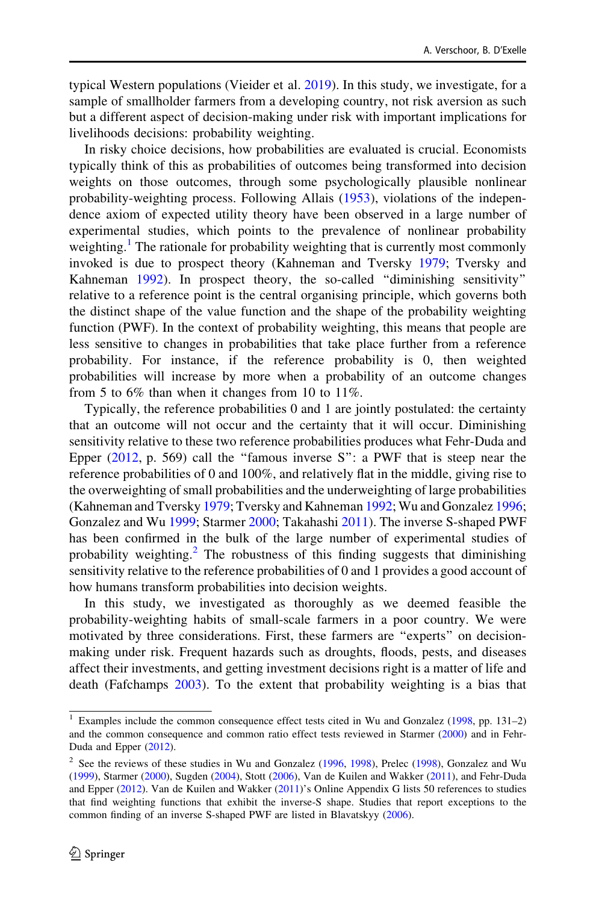<span id="page-1-0"></span>typical Western populations (Vieider et al. [2019\)](#page-35-0). In this study, we investigate, for a sample of smallholder farmers from a developing country, not risk aversion as such but a different aspect of decision-making under risk with important implications for livelihoods decisions: probability weighting.

In risky choice decisions, how probabilities are evaluated is crucial. Economists typically think of this as probabilities of outcomes being transformed into decision weights on those outcomes, through some psychologically plausible nonlinear probability-weighting process. Following Allais [\(1953](#page-34-0)), violations of the independence axiom of expected utility theory have been observed in a large number of experimental studies, which points to the prevalence of nonlinear probability weighting.<sup>1</sup> The rationale for probability weighting that is currently most commonly invoked is due to prospect theory (Kahneman and Tversky [1979;](#page-34-0) Tversky and Kahneman [1992\)](#page-35-0). In prospect theory, the so-called ''diminishing sensitivity'' relative to a reference point is the central organising principle, which governs both the distinct shape of the value function and the shape of the probability weighting function (PWF). In the context of probability weighting, this means that people are less sensitive to changes in probabilities that take place further from a reference probability. For instance, if the reference probability is 0, then weighted probabilities will increase by more when a probability of an outcome changes from 5 to 6% than when it changes from 10 to 11%.

Typically, the reference probabilities 0 and 1 are jointly postulated: the certainty that an outcome will not occur and the certainty that it will occur. Diminishing sensitivity relative to these two reference probabilities produces what Fehr-Duda and Epper  $(2012, p. 569)$  $(2012, p. 569)$  call the "famous inverse S": a PWF that is steep near the reference probabilities of 0 and 100%, and relatively flat in the middle, giving rise to the overweighting of small probabilities and the underweighting of large probabilities (Kahneman and Tversky [1979;](#page-34-0) Tversky and Kahneman [1992;](#page-35-0) Wu and Gonzalez [1996;](#page-35-0) Gonzalez and Wu [1999;](#page-34-0) Starmer [2000](#page-35-0); Takahashi [2011\)](#page-35-0). The inverse S-shaped PWF has been confirmed in the bulk of the large number of experimental studies of probability weighting.<sup>2</sup> The robustness of this finding suggests that diminishing sensitivity relative to the reference probabilities of 0 and 1 provides a good account of how humans transform probabilities into decision weights.

In this study, we investigated as thoroughly as we deemed feasible the probability-weighting habits of small-scale farmers in a poor country. We were motivated by three considerations. First, these farmers are ''experts'' on decisionmaking under risk. Frequent hazards such as droughts, floods, pests, and diseases affect their investments, and getting investment decisions right is a matter of life and death (Fafchamps [2003\)](#page-34-0). To the extent that probability weighting is a bias that

<sup>&</sup>lt;sup>1</sup> Examples include the common consequence effect tests cited in Wu and Gonzalez ( $1998$ , pp. 131–2) and the common consequence and common ratio effect tests reviewed in Starmer [\(2000\)](#page-35-0) and in Fehr-Duda and Epper [\(2012](#page-34-0)).

<sup>&</sup>lt;sup>2</sup> See the reviews of these studies in Wu and Gonzalez ([1996,](#page-35-0) [1998](#page-35-0)), Prelec ([1998\)](#page-35-0), Gonzalez and Wu ([1999\)](#page-34-0), Starmer ([2000\)](#page-35-0), Sugden [\(2004](#page-35-0)), Stott ([2006\)](#page-35-0), Van de Kuilen and Wakker [\(2011](#page-35-0)), and Fehr-Duda and Epper ([2012\)](#page-34-0). Van de Kuilen and Wakker [\(2011](#page-35-0))'s Online Appendix G lists 50 references to studies that find weighting functions that exhibit the inverse-S shape. Studies that report exceptions to the common finding of an inverse S-shaped PWF are listed in Blavatskyy [\(2006\)](#page-34-0).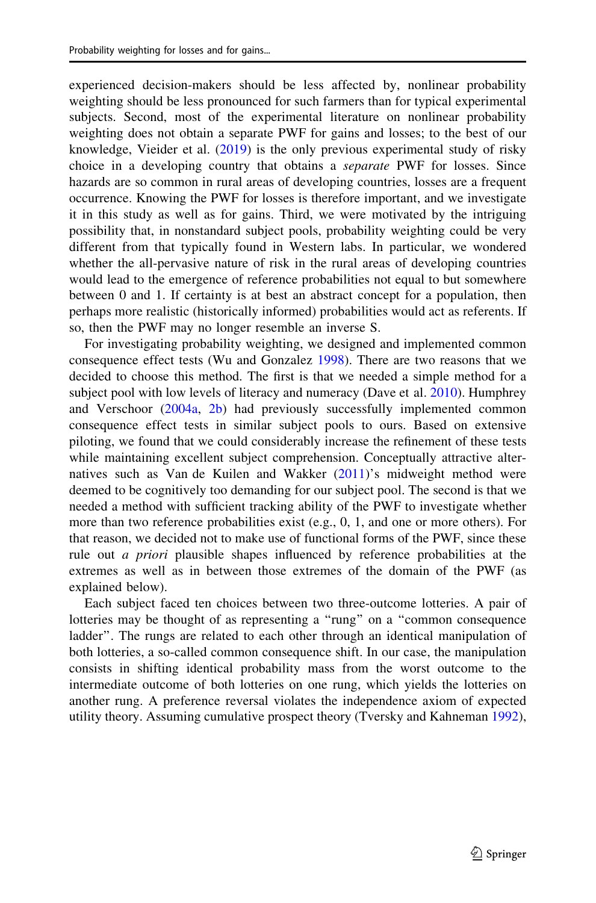experienced decision-makers should be less affected by, nonlinear probability weighting should be less pronounced for such farmers than for typical experimental subjects. Second, most of the experimental literature on nonlinear probability weighting does not obtain a separate PWF for gains and losses; to the best of our knowledge, Vieider et al. [\(2019](#page-35-0)) is the only previous experimental study of risky choice in a developing country that obtains a separate PWF for losses. Since hazards are so common in rural areas of developing countries, losses are a frequent occurrence. Knowing the PWF for losses is therefore important, and we investigate it in this study as well as for gains. Third, we were motivated by the intriguing possibility that, in nonstandard subject pools, probability weighting could be very different from that typically found in Western labs. In particular, we wondered whether the all-pervasive nature of risk in the rural areas of developing countries would lead to the emergence of reference probabilities not equal to but somewhere between 0 and 1. If certainty is at best an abstract concept for a population, then perhaps more realistic (historically informed) probabilities would act as referents. If so, then the PWF may no longer resemble an inverse S.

For investigating probability weighting, we designed and implemented common consequence effect tests (Wu and Gonzalez [1998](#page-35-0)). There are two reasons that we decided to choose this method. The first is that we needed a simple method for a subject pool with low levels of literacy and numeracy (Dave et al. [2010](#page-34-0)). Humphrey and Verschoor ([2004a,](#page-34-0) [2b](#page-34-0)) had previously successfully implemented common consequence effect tests in similar subject pools to ours. Based on extensive piloting, we found that we could considerably increase the refinement of these tests while maintaining excellent subject comprehension. Conceptually attractive alternatives such as Van de Kuilen and Wakker ([2011\)](#page-35-0)'s midweight method were deemed to be cognitively too demanding for our subject pool. The second is that we needed a method with sufficient tracking ability of the PWF to investigate whether more than two reference probabilities exist (e.g., 0, 1, and one or more others). For that reason, we decided not to make use of functional forms of the PWF, since these rule out *a priori* plausible shapes influenced by reference probabilities at the extremes as well as in between those extremes of the domain of the PWF (as explained below).

Each subject faced ten choices between two three-outcome lotteries. A pair of lotteries may be thought of as representing a ''rung'' on a ''common consequence ladder''. The rungs are related to each other through an identical manipulation of both lotteries, a so-called common consequence shift. In our case, the manipulation consists in shifting identical probability mass from the worst outcome to the intermediate outcome of both lotteries on one rung, which yields the lotteries on another rung. A preference reversal violates the independence axiom of expected utility theory. Assuming cumulative prospect theory (Tversky and Kahneman [1992\)](#page-35-0),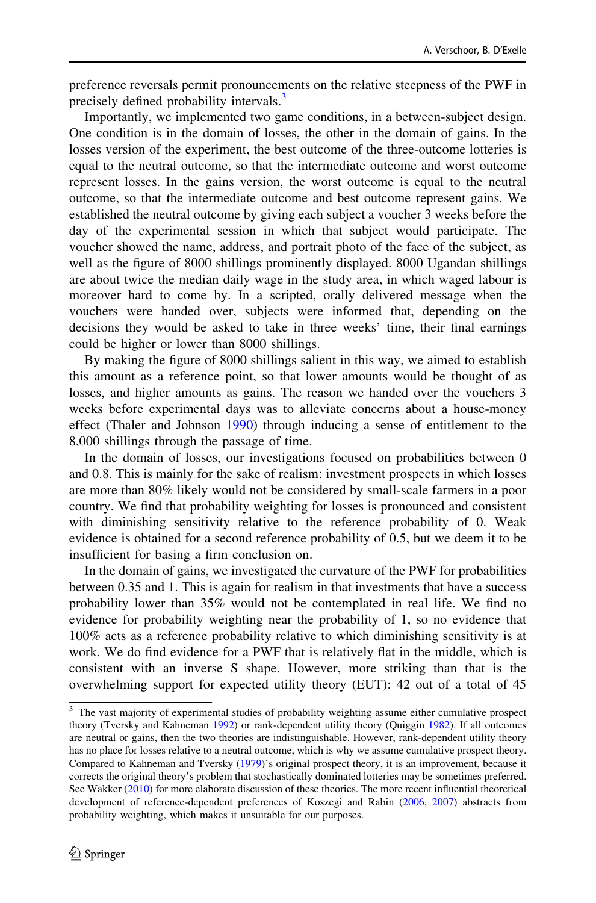preference reversals permit pronouncements on the relative steepness of the PWF in precisely defined probability intervals.<sup>3</sup>

Importantly, we implemented two game conditions, in a between-subject design. One condition is in the domain of losses, the other in the domain of gains. In the losses version of the experiment, the best outcome of the three-outcome lotteries is equal to the neutral outcome, so that the intermediate outcome and worst outcome represent losses. In the gains version, the worst outcome is equal to the neutral outcome, so that the intermediate outcome and best outcome represent gains. We established the neutral outcome by giving each subject a voucher 3 weeks before the day of the experimental session in which that subject would participate. The voucher showed the name, address, and portrait photo of the face of the subject, as well as the figure of 8000 shillings prominently displayed. 8000 Ugandan shillings are about twice the median daily wage in the study area, in which waged labour is moreover hard to come by. In a scripted, orally delivered message when the vouchers were handed over, subjects were informed that, depending on the decisions they would be asked to take in three weeks' time, their final earnings could be higher or lower than 8000 shillings.

By making the figure of 8000 shillings salient in this way, we aimed to establish this amount as a reference point, so that lower amounts would be thought of as losses, and higher amounts as gains. The reason we handed over the vouchers 3 weeks before experimental days was to alleviate concerns about a house-money effect (Thaler and Johnson [1990\)](#page-35-0) through inducing a sense of entitlement to the 8,000 shillings through the passage of time.

In the domain of losses, our investigations focused on probabilities between 0 and 0.8. This is mainly for the sake of realism: investment prospects in which losses are more than 80% likely would not be considered by small-scale farmers in a poor country. We find that probability weighting for losses is pronounced and consistent with diminishing sensitivity relative to the reference probability of 0. Weak evidence is obtained for a second reference probability of 0.5, but we deem it to be insufficient for basing a firm conclusion on.

In the domain of gains, we investigated the curvature of the PWF for probabilities between 0.35 and 1. This is again for realism in that investments that have a success probability lower than 35% would not be contemplated in real life. We find no evidence for probability weighting near the probability of 1, so no evidence that 100% acts as a reference probability relative to which diminishing sensitivity is at work. We do find evidence for a PWF that is relatively flat in the middle, which is consistent with an inverse S shape. However, more striking than that is the overwhelming support for expected utility theory (EUT): 42 out of a total of 45

<sup>&</sup>lt;sup>3</sup> The vast majority of experimental studies of probability weighting assume either cumulative prospect theory (Tversky and Kahneman [1992\)](#page-35-0) or rank-dependent utility theory (Quiggin [1982\)](#page-35-0). If all outcomes are neutral or gains, then the two theories are indistinguishable. However, rank-dependent utility theory has no place for losses relative to a neutral outcome, which is why we assume cumulative prospect theory. Compared to Kahneman and Tversky [\(1979\)](#page-34-0)'s original prospect theory, it is an improvement, because it corrects the original theory's problem that stochastically dominated lotteries may be sometimes preferred. See Wakker [\(2010](#page-35-0)) for more elaborate discussion of these theories. The more recent influential theoretical development of reference-dependent preferences of Koszegi and Rabin [\(2006](#page-34-0), [2007\)](#page-34-0) abstracts from probability weighting, which makes it unsuitable for our purposes.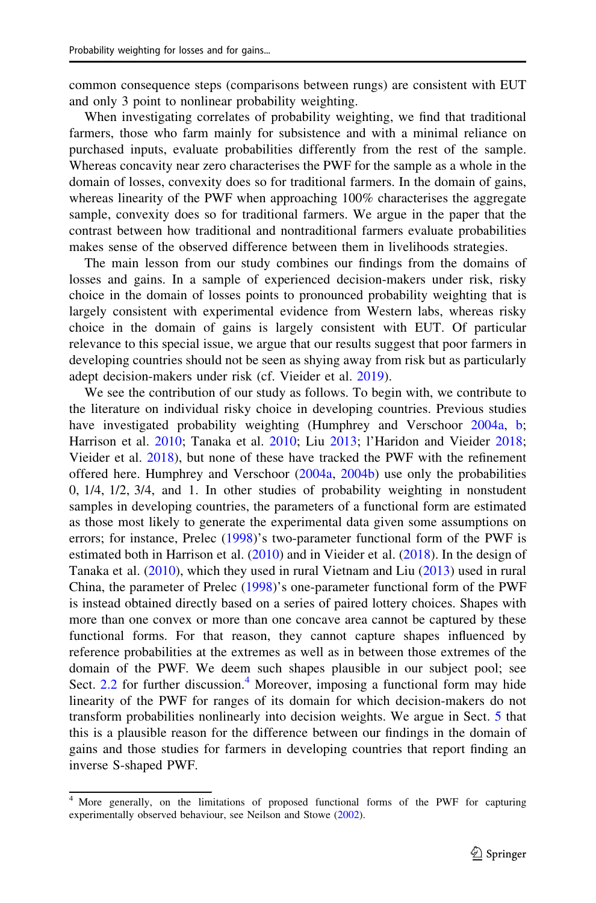common consequence steps (comparisons between rungs) are consistent with EUT and only 3 point to nonlinear probability weighting.

When investigating correlates of probability weighting, we find that traditional farmers, those who farm mainly for subsistence and with a minimal reliance on purchased inputs, evaluate probabilities differently from the rest of the sample. Whereas concavity near zero characterises the PWF for the sample as a whole in the domain of losses, convexity does so for traditional farmers. In the domain of gains, whereas linearity of the PWF when approaching 100% characterises the aggregate sample, convexity does so for traditional farmers. We argue in the paper that the contrast between how traditional and nontraditional farmers evaluate probabilities makes sense of the observed difference between them in livelihoods strategies.

The main lesson from our study combines our findings from the domains of losses and gains. In a sample of experienced decision-makers under risk, risky choice in the domain of losses points to pronounced probability weighting that is largely consistent with experimental evidence from Western labs, whereas risky choice in the domain of gains is largely consistent with EUT. Of particular relevance to this special issue, we argue that our results suggest that poor farmers in developing countries should not be seen as shying away from risk but as particularly adept decision-makers under risk (cf. Vieider et al. [2019](#page-35-0)).

We see the contribution of our study as follows. To begin with, we contribute to the literature on individual risky choice in developing countries. Previous studies have investigated probability weighting (Humphrey and Verschoor [2004a,](#page-34-0) [b;](#page-34-0) Harrison et al. [2010](#page-34-0); Tanaka et al. [2010;](#page-35-0) Liu [2013](#page-35-0); l'Haridon and Vieider [2018;](#page-34-0) Vieider et al. [2018](#page-35-0)), but none of these have tracked the PWF with the refinement offered here. Humphrey and Verschoor ([2004a](#page-34-0), [2004b](#page-34-0)) use only the probabilities 0, 1/4, 1/2, 3/4, and 1. In other studies of probability weighting in nonstudent samples in developing countries, the parameters of a functional form are estimated as those most likely to generate the experimental data given some assumptions on errors; for instance, Prelec ([1998\)](#page-35-0)'s two-parameter functional form of the PWF is estimated both in Harrison et al. [\(2010](#page-34-0)) and in Vieider et al. ([2018\)](#page-35-0). In the design of Tanaka et al. ([2010](#page-35-0)), which they used in rural Vietnam and Liu [\(2013](#page-35-0)) used in rural China, the parameter of Prelec [\(1998](#page-35-0))'s one-parameter functional form of the PWF is instead obtained directly based on a series of paired lottery choices. Shapes with more than one convex or more than one concave area cannot be captured by these functional forms. For that reason, they cannot capture shapes influenced by reference probabilities at the extremes as well as in between those extremes of the domain of the PWF. We deem such shapes plausible in our subject pool; see Sect.  $2.2$  for further discussion.<sup>4</sup> Moreover, imposing a functional form may hide linearity of the PWF for ranges of its domain for which decision-makers do not transform probabilities nonlinearly into decision weights. We argue in Sect. [5](#page-29-0) that this is a plausible reason for the difference between our findings in the domain of gains and those studies for farmers in developing countries that report finding an inverse S-shaped PWF.

<sup>&</sup>lt;sup>4</sup> More generally, on the limitations of proposed functional forms of the PWF for capturing experimentally observed behaviour, see Neilson and Stowe [\(2002\)](#page-35-0).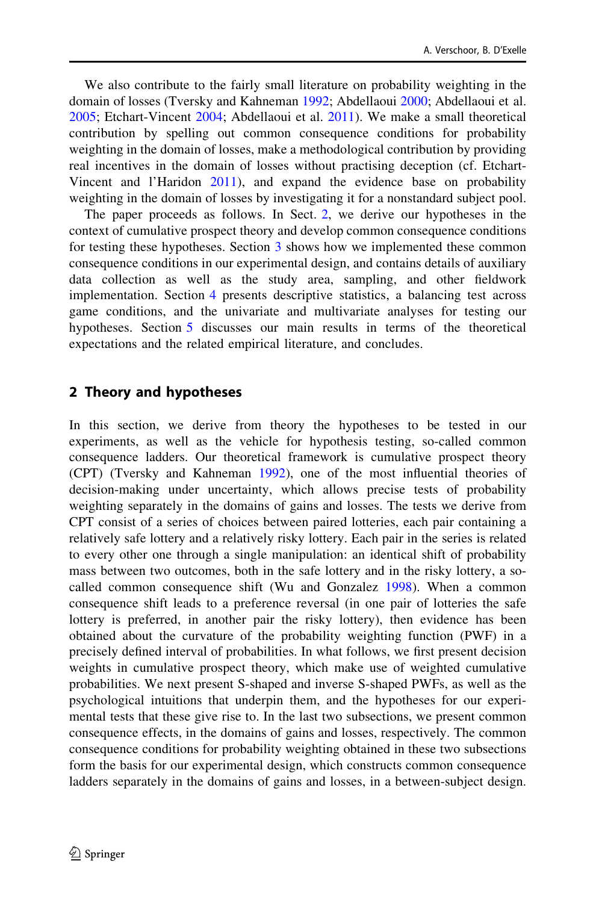<span id="page-5-0"></span>We also contribute to the fairly small literature on probability weighting in the domain of losses (Tversky and Kahneman [1992;](#page-35-0) Abdellaoui [2000](#page-34-0); Abdellaoui et al. [2005;](#page-34-0) Etchart-Vincent [2004](#page-34-0); Abdellaoui et al. [2011\)](#page-34-0). We make a small theoretical contribution by spelling out common consequence conditions for probability weighting in the domain of losses, make a methodological contribution by providing real incentives in the domain of losses without practising deception (cf. Etchart-Vincent and l'Haridon [2011](#page-34-0)), and expand the evidence base on probability weighting in the domain of losses by investigating it for a nonstandard subject pool.

The paper proceeds as follows. In Sect. 2, we derive our hypotheses in the context of cumulative prospect theory and develop common consequence conditions for testing these hypotheses. Section [3](#page-14-0) shows how we implemented these common consequence conditions in our experimental design, and contains details of auxiliary data collection as well as the study area, sampling, and other fieldwork implementation. Section [4](#page-21-0) presents descriptive statistics, a balancing test across game conditions, and the univariate and multivariate analyses for testing our hypotheses. Section [5](#page-29-0) discusses our main results in terms of the theoretical expectations and the related empirical literature, and concludes.

## 2 Theory and hypotheses

In this section, we derive from theory the hypotheses to be tested in our experiments, as well as the vehicle for hypothesis testing, so-called common consequence ladders. Our theoretical framework is cumulative prospect theory (CPT) (Tversky and Kahneman [1992\)](#page-35-0), one of the most influential theories of decision-making under uncertainty, which allows precise tests of probability weighting separately in the domains of gains and losses. The tests we derive from CPT consist of a series of choices between paired lotteries, each pair containing a relatively safe lottery and a relatively risky lottery. Each pair in the series is related to every other one through a single manipulation: an identical shift of probability mass between two outcomes, both in the safe lottery and in the risky lottery, a socalled common consequence shift (Wu and Gonzalez [1998](#page-35-0)). When a common consequence shift leads to a preference reversal (in one pair of lotteries the safe lottery is preferred, in another pair the risky lottery), then evidence has been obtained about the curvature of the probability weighting function (PWF) in a precisely defined interval of probabilities. In what follows, we first present decision weights in cumulative prospect theory, which make use of weighted cumulative probabilities. We next present S-shaped and inverse S-shaped PWFs, as well as the psychological intuitions that underpin them, and the hypotheses for our experimental tests that these give rise to. In the last two subsections, we present common consequence effects, in the domains of gains and losses, respectively. The common consequence conditions for probability weighting obtained in these two subsections form the basis for our experimental design, which constructs common consequence ladders separately in the domains of gains and losses, in a between-subject design.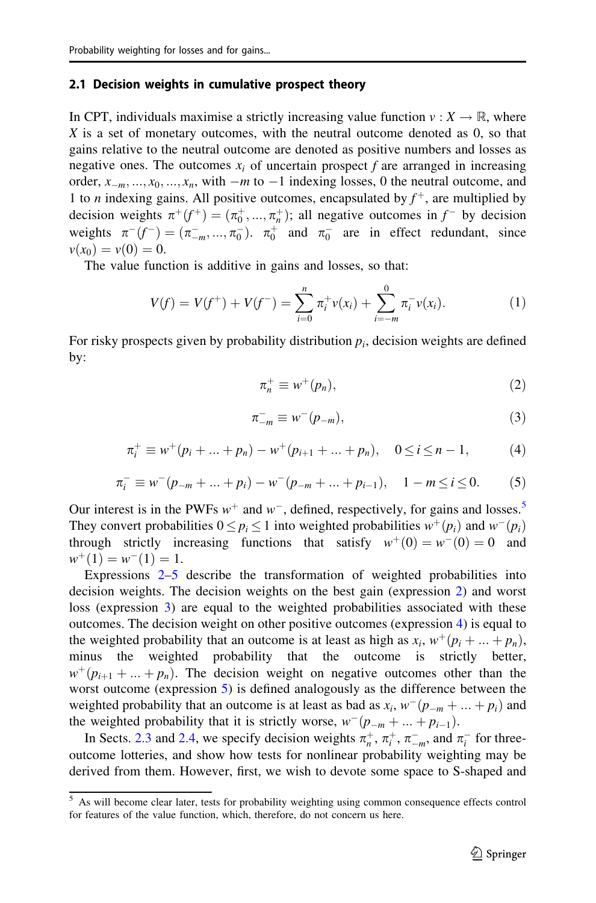#### <span id="page-6-0"></span>2.1 Decision weights in cumulative prospect theory

In CPT, individuals maximise a strictly increasing value function  $v: X \to \mathbb{R}$ , where  $X$  is a set of monetary outcomes, with the neutral outcome denoted as  $0$ , so that gains relative to the neutral outcome are denoted as positive numbers and losses as negative ones. The outcomes  $x_i$  of uncertain prospect f are arranged in increasing order,  $x_{-m}, ..., x_0, ..., x_n$ , with  $-m$  to  $-1$  indexing losses, 0 the neutral outcome, and 1 to *n* indexing gains. All positive outcomes, encapsulated by  $f^+$ , are multiplied by decision weights  $\pi^+(f^+) = (\pi_0^+, ..., \pi_n^+)$ ; all negative outcomes in  $f^-$  by decision weights  $\pi^-(f^-) = (\pi^-_{-m}, ..., \pi^-_0)$ .  $\pi^+_0$  and  $\pi^-_0$  are in effect redundant, since  $v(x_0) = v(0) = 0.$ 

The value function is additive in gains and losses, so that:

$$
V(f) = V(f^+) + V(f^-) = \sum_{i=0}^{n} \pi_i^+ v(x_i) + \sum_{i=-m}^{0} \pi_i^- v(x_i).
$$
 (1)

For risky prospects given by probability distribution  $p_i$ , decision weights are defined by:

$$
\pi_n^+ \equiv w^+(p_n),\tag{2}
$$

$$
\pi_{-m}^- \equiv w^-(p_{-m}),\tag{3}
$$

$$
\pi_i^+ \equiv w^+(p_i + \dots + p_n) - w^+(p_{i+1} + \dots + p_n), \quad 0 \le i \le n-1,
$$
 (4)

$$
\pi_i^- \equiv w^-(p_{-m} + \dots + p_i) - w^-(p_{-m} + \dots + p_{i-1}), \quad 1 - m \le i \le 0. \tag{5}
$$

Our interest is in the PWFs  $w^+$  and  $w^-$ , defined, respectively, for gains and losses.<sup>5</sup> They convert probabilities  $0 \le p_i \le 1$  into weighted probabilities  $w^+(p_i)$  and  $w^-(p_i)$ through strictly increasing functions that satisfy  $w^+(0) = w^-(0) = 0$  and  $w^+(1) = w^-(1) = 1.$ 

Expressions  $2-5$  describe the transformation of weighted probabilities into decision weights. The decision weights on the best gain (expression 2) and worst loss (expression 3) are equal to the weighted probabilities associated with these outcomes. The decision weight on other positive outcomes (expression 4) is equal to the weighted probability that an outcome is at least as high as  $x_i$ ,  $w^+(p_i + ... + p_n)$ , minus the weighted probability that the outcome is strictly better,  $w^+(p_{i+1} + ... + p_n)$ . The decision weight on negative outcomes other than the worst outcome (expression 5) is defined analogously as the difference between the weighted probability that an outcome is at least as bad as  $x_i$ ,  $w^-(p_{-m} + ... + p_i)$  and the weighted probability that it is strictly worse,  $w^-(p_{-m} + ... + p_{i-1})$ .

In Sects. [2.3](#page-10-0) and [2.4](#page-12-0), we specify decision weights  $\pi_n^+$ ,  $\pi_{i}^+$ ,  $\pi_{-m}^-$ , and  $\pi_i^-$  for threeoutcome lotteries, and show how tests for nonlinear probability weighting may be derived from them. However, first, we wish to devote some space to S-shaped and

<sup>5</sup> As will become clear later, tests for probability weighting using common consequence effects control for features of the value function, which, therefore, do not concern us here.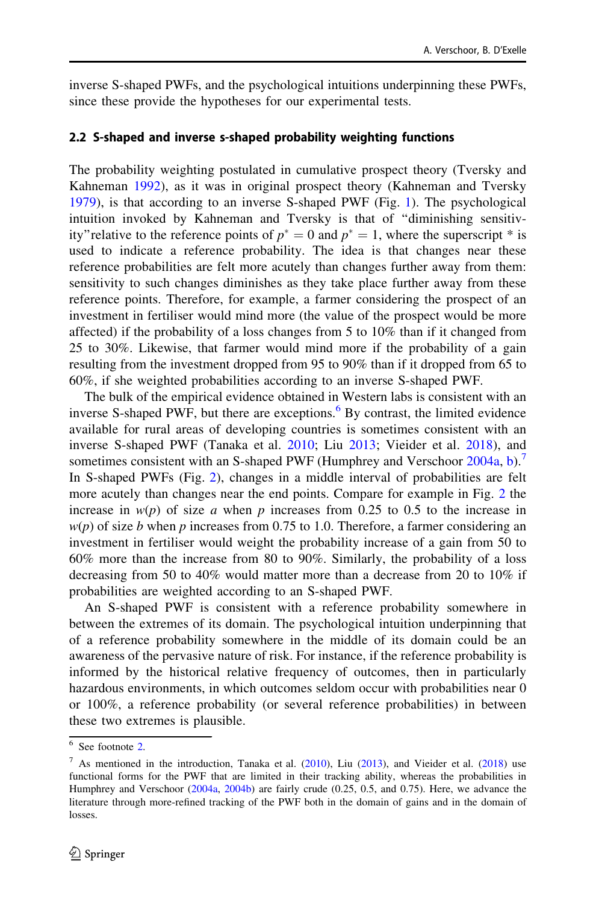<span id="page-7-0"></span>inverse S-shaped PWFs, and the psychological intuitions underpinning these PWFs, since these provide the hypotheses for our experimental tests.

#### 2.2 S-shaped and inverse s-shaped probability weighting functions

The probability weighting postulated in cumulative prospect theory (Tversky and Kahneman [1992\)](#page-35-0), as it was in original prospect theory (Kahneman and Tversky [1979\)](#page-34-0), is that according to an inverse S-shaped PWF (Fig. [1\)](#page-8-0). The psychological intuition invoked by Kahneman and Tversky is that of ''diminishing sensitivity" relative to the reference points of  $p^* = 0$  and  $p^* = 1$ , where the superscript \* is used to indicate a reference probability. The idea is that changes near these reference probabilities are felt more acutely than changes further away from them: sensitivity to such changes diminishes as they take place further away from these reference points. Therefore, for example, a farmer considering the prospect of an investment in fertiliser would mind more (the value of the prospect would be more affected) if the probability of a loss changes from 5 to 10% than if it changed from 25 to 30%. Likewise, that farmer would mind more if the probability of a gain resulting from the investment dropped from 95 to 90% than if it dropped from 65 to 60%, if she weighted probabilities according to an inverse S-shaped PWF.

The bulk of the empirical evidence obtained in Western labs is consistent with an inverse S-shaped PWF, but there are exceptions. $6\text{ By contrast, the limited evidence}$ available for rural areas of developing countries is sometimes consistent with an inverse S-shaped PWF (Tanaka et al. [2010;](#page-35-0) Liu [2013](#page-35-0); Vieider et al. [2018\)](#page-35-0), and sometimes consistent with an S-shaped PWF (Humphrey and Verschoor [2004a,](#page-34-0) [b\)](#page-34-0).<sup>7</sup> In S-shaped PWFs (Fig. [2\)](#page-9-0), changes in a middle interval of probabilities are felt more acutely than changes near the end points. Compare for example in Fig. [2](#page-9-0) the increase in  $w(p)$  of size a when p increases from 0.25 to 0.5 to the increase in  $w(p)$  of size b when p increases from 0.75 to 1.0. Therefore, a farmer considering an investment in fertiliser would weight the probability increase of a gain from 50 to 60% more than the increase from 80 to 90%. Similarly, the probability of a loss decreasing from 50 to 40% would matter more than a decrease from 20 to 10% if probabilities are weighted according to an S-shaped PWF.

An S-shaped PWF is consistent with a reference probability somewhere in between the extremes of its domain. The psychological intuition underpinning that of a reference probability somewhere in the middle of its domain could be an awareness of the pervasive nature of risk. For instance, if the reference probability is informed by the historical relative frequency of outcomes, then in particularly hazardous environments, in which outcomes seldom occur with probabilities near 0 or 100%, a reference probability (or several reference probabilities) in between these two extremes is plausible.

<sup>6</sup> See footnote [2](#page-1-0).

 $^7$  As mentioned in the introduction, Tanaka et al. ([2010\)](#page-35-0), Liu [\(2013](#page-35-0)), and Vieider et al. ([2018\)](#page-35-0) use functional forms for the PWF that are limited in their tracking ability, whereas the probabilities in Humphrey and Verschoor [\(2004a,](#page-34-0) [2004b](#page-34-0)) are fairly crude (0.25, 0.5, and 0.75). Here, we advance the literature through more-refined tracking of the PWF both in the domain of gains and in the domain of losses.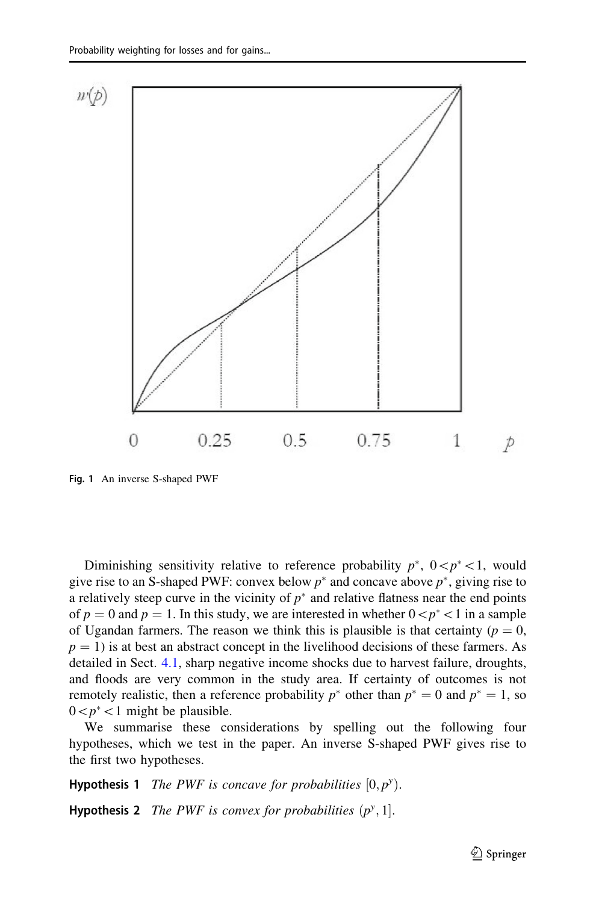<span id="page-8-0"></span>

Fig. 1 An inverse S-shaped PWF

Diminishing sensitivity relative to reference probability  $p^*$ ,  $0< p^*<1$ , would give rise to an S-shaped PWF: convex below  $p^*$  and concave above  $p^*$ , giving rise to a relatively steep curve in the vicinity of  $p^*$  and relative flatness near the end points of  $p = 0$  and  $p = 1$ . In this study, we are interested in whether  $0 \lt p^* \lt 1$  in a sample of Ugandan farmers. The reason we think this is plausible is that certainty ( $p = 0$ ,  $p = 1$ ) is at best an abstract concept in the livelihood decisions of these farmers. As detailed in Sect. [4.1,](#page-21-0) sharp negative income shocks due to harvest failure, droughts, and floods are very common in the study area. If certainty of outcomes is not remotely realistic, then a reference probability  $p^*$  other than  $p^* = 0$  and  $p^* = 1$ , so  $0 \lt p^* \lt 1$  might be plausible.

We summarise these considerations by spelling out the following four hypotheses, which we test in the paper. An inverse S-shaped PWF gives rise to the first two hypotheses.

**Hypothesis 1** The PWF is concave for probabilities  $[0, p^y)$ .

**Hypothesis 2** The PWF is convex for probabilities  $(p^y, 1]$ .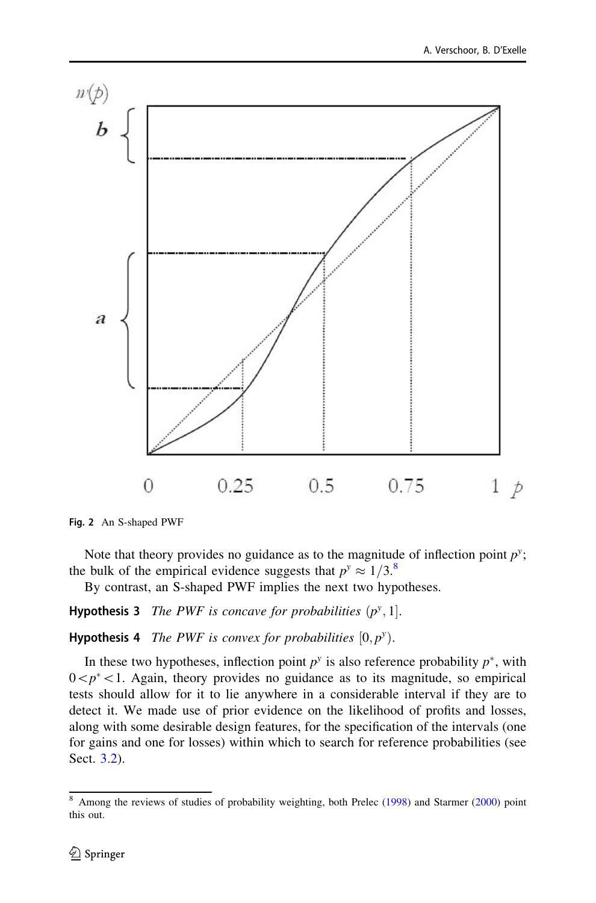<span id="page-9-0"></span>

Fig. 2 An S-shaped PWF

Note that theory provides no guidance as to the magnitude of inflection point  $p^y$ ; the bulk of the empirical evidence suggests that  $p^y \approx 1/3$ .<sup>8</sup>

By contrast, an S-shaped PWF implies the next two hypotheses.

**Hypothesis 3** The PWF is concave for probabilities  $(p^y, 1]$ .

**Hypothesis 4** The PWF is convex for probabilities  $[0, p^y)$ .

In these two hypotheses, inflection point  $p^y$  is also reference probability  $p^*$ , with  $0\leq p^* < 1$ . Again, theory provides no guidance as to its magnitude, so empirical tests should allow for it to lie anywhere in a considerable interval if they are to detect it. We made use of prior evidence on the likelihood of profits and losses, along with some desirable design features, for the specification of the intervals (one for gains and one for losses) within which to search for reference probabilities (see Sect. [3.2\)](#page-16-0).

<sup>8</sup> Among the reviews of studies of probability weighting, both Prelec ([1998](#page-35-0)) and Starmer ([2000\)](#page-35-0) point this out.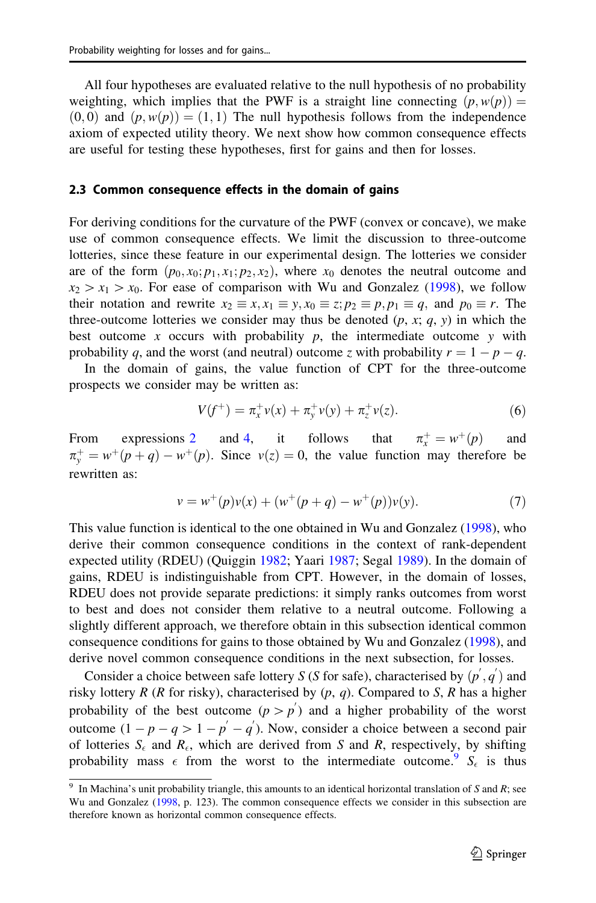<span id="page-10-0"></span>All four hypotheses are evaluated relative to the null hypothesis of no probability weighting, which implies that the PWF is a straight line connecting  $(p, w(p)) =$  $(0,0)$  and  $(p, w(p)) = (1, 1)$  The null hypothesis follows from the independence axiom of expected utility theory. We next show how common consequence effects are useful for testing these hypotheses, first for gains and then for losses.

#### 2.3 Common consequence effects in the domain of gains

For deriving conditions for the curvature of the PWF (convex or concave), we make use of common consequence effects. We limit the discussion to three-outcome lotteries, since these feature in our experimental design. The lotteries we consider are of the form  $(p_0, x_0; p_1, x_1; p_2, x_2)$ , where  $x_0$  denotes the neutral outcome and  $x_2 > x_1 > x_0$ . For ease of comparison with Wu and Gonzalez ([1998\)](#page-35-0), we follow their notation and rewrite  $x_2 \equiv x, x_1 \equiv y, x_0 \equiv z; p_2 \equiv p, p_1 \equiv q$ , and  $p_0 \equiv r$ . The three-outcome lotteries we consider may thus be denoted  $(p, x; q, y)$  in which the best outcome x occurs with probability  $p$ , the intermediate outcome y with probability q, and the worst (and neutral) outcome z with probability  $r = 1 - p - q$ .

In the domain of gains, the value function of CPT for the three-outcome prospects we consider may be written as:

$$
V(f^+) = \pi_x^+ \nu(x) + \pi_y^+ \nu(y) + \pi_z^+ \nu(z). \tag{6}
$$

From expressions  $2$  and  $4$ , it follows that  $\pi_r^+ = w^+(p)$  and  $\pi_y^+ = w^+(p+q) - w^+(p)$ . Since  $v(z) = 0$ , the value function may therefore be rewritten as:

$$
v = w^{+}(p)v(x) + (w^{+}(p+q) - w^{+}(p))v(y).
$$
 (7)

This value function is identical to the one obtained in Wu and Gonzalez [\(1998](#page-35-0)), who derive their common consequence conditions in the context of rank-dependent expected utility (RDEU) (Quiggin [1982;](#page-35-0) Yaari [1987](#page-35-0); Segal [1989\)](#page-35-0). In the domain of gains, RDEU is indistinguishable from CPT. However, in the domain of losses, RDEU does not provide separate predictions: it simply ranks outcomes from worst to best and does not consider them relative to a neutral outcome. Following a slightly different approach, we therefore obtain in this subsection identical common consequence conditions for gains to those obtained by Wu and Gonzalez ([1998\)](#page-35-0), and derive novel common consequence conditions in the next subsection, for losses.

Consider a choice between safe lottery S (S for safe), characterised by  $(p', q')$  and risky lottery R (R for risky), characterised by  $(p, q)$ . Compared to S, R has a higher probability of the best outcome  $(p > p')$  and a higher probability of the worst outcome  $(1 - p - q > 1 - p' - q')$ . Now, consider a choice between a second pair of lotteries  $S_{\epsilon}$  and  $R_{\epsilon}$ , which are derived from S and R, respectively, by shifting probability mass  $\epsilon$  from the worst to the intermediate outcome.<sup>9</sup>  $S_{\epsilon}$  is thus

<sup>&</sup>lt;sup>9</sup> In Machina's unit probability triangle, this amounts to an identical horizontal translation of S and R; see Wu and Gonzalez [\(1998](#page-35-0), p. 123). The common consequence effects we consider in this subsection are therefore known as horizontal common consequence effects.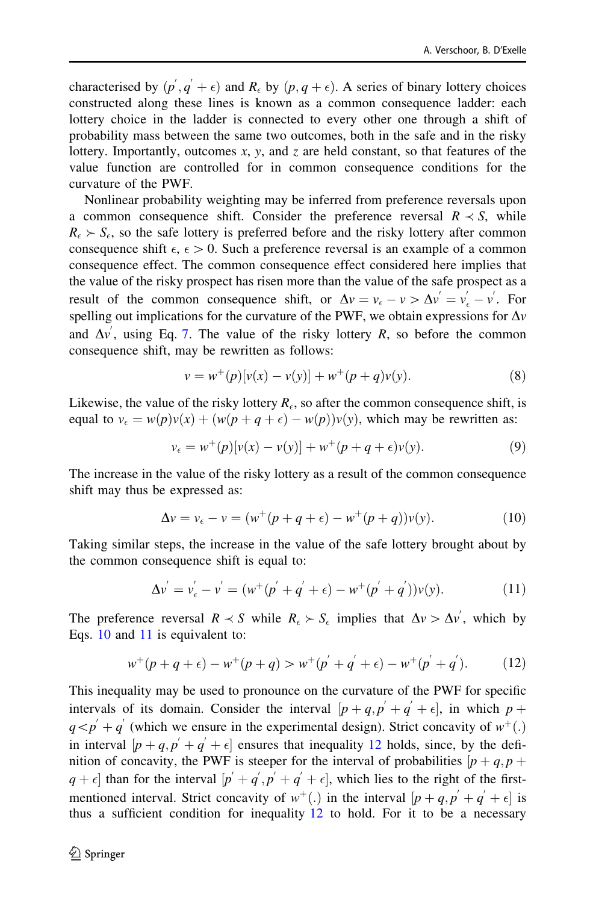<span id="page-11-0"></span>characterised by  $(p', q' + \epsilon)$  and  $R_{\epsilon}$  by  $(p, q + \epsilon)$ . A series of binary lottery choices constructed along these lines is known as a common consequence ladder: each lottery choice in the ladder is connected to every other one through a shift of probability mass between the same two outcomes, both in the safe and in the risky lottery. Importantly, outcomes  $x$ ,  $y$ , and  $z$  are held constant, so that features of the value function are controlled for in common consequence conditions for the curvature of the PWF.

Nonlinear probability weighting may be inferred from preference reversals upon a common consequence shift. Consider the preference reversal  $R \prec S$ , while  $R_{\epsilon} > S_{\epsilon}$ , so the safe lottery is preferred before and the risky lottery after common consequence shift  $\epsilon$ ,  $\epsilon > 0$ . Such a preference reversal is an example of a common consequence effect. The common consequence effect considered here implies that the value of the risky prospect has risen more than the value of the safe prospect as a result of the common consequence shift, or  $\Delta v = v_{\epsilon} - v > \Delta v' = v'_{\epsilon} - v'$ . For spelling out implications for the curvature of the PWF, we obtain expressions for  $\Delta v$ and  $\Delta v'$ , using Eq. [7](#page-10-0). The value of the risky lottery R, so before the common consequence shift, may be rewritten as follows:

$$
v = w^{+}(p)[v(x) - v(y)] + w^{+}(p+q)v(y).
$$
 (8)

Likewise, the value of the risky lottery  $R_{\epsilon}$ , so after the common consequence shift, is equal to  $v_{\epsilon} = w(p)v(x) + (w(p+q+\epsilon) - w(p))v(y)$ , which may be rewritten as:

$$
v_{\epsilon} = w^{+}(p)[v(x) - v(y)] + w^{+}(p + q + \epsilon)v(y).
$$
 (9)

The increase in the value of the risky lottery as a result of the common consequence shift may thus be expressed as:

$$
\Delta v = v_{\epsilon} - v = (w^+(p+q+\epsilon) - w^+(p+q))v(y).
$$
 (10)

Taking similar steps, the increase in the value of the safe lottery brought about by the common consequence shift is equal to:

$$
\Delta v^{'} = v_{\epsilon}^{'} - v^{'} = (w^{+}(p^{'} + q^{'} + \epsilon) - w^{+}(p^{'} + q^{'}))v(y). \tag{11}
$$

The preference reversal  $R \prec S$  while  $R_{\epsilon} \succ S_{\epsilon}$  implies that  $\Delta v > \Delta v'$ , which by Eqs. 10 and 11 is equivalent to:

$$
w^{+}(p+q+\epsilon) - w^{+}(p+q) > w^{+}(p^{'}+q^{'}+\epsilon) - w^{+}(p^{'}+q^{'}). \tag{12}
$$

This inequality may be used to pronounce on the curvature of the PWF for specific intervals of its domain. Consider the interval  $[p+q, p'+q'+\epsilon]$ , in which  $p+q$  $q < p' + q'$  (which we ensure in the experimental design). Strict concavity of  $w^+(.)$ in interval  $[p+q, p'+q'+\epsilon]$  ensures that inequality 12 holds, since, by the definition of concavity, the PWF is steeper for the interval of probabilities  $[p+q, p+q]$  $(q + \epsilon]$  than for the interval  $[p' + q', p' + q' + \epsilon]$ , which lies to the right of the firstmentioned interval. Strict concavity of  $w^+(\cdot)$  in the interval  $[p+q, p'+q'+\epsilon]$  is thus a sufficient condition for inequality  $12$  to hold. For it to be a necessary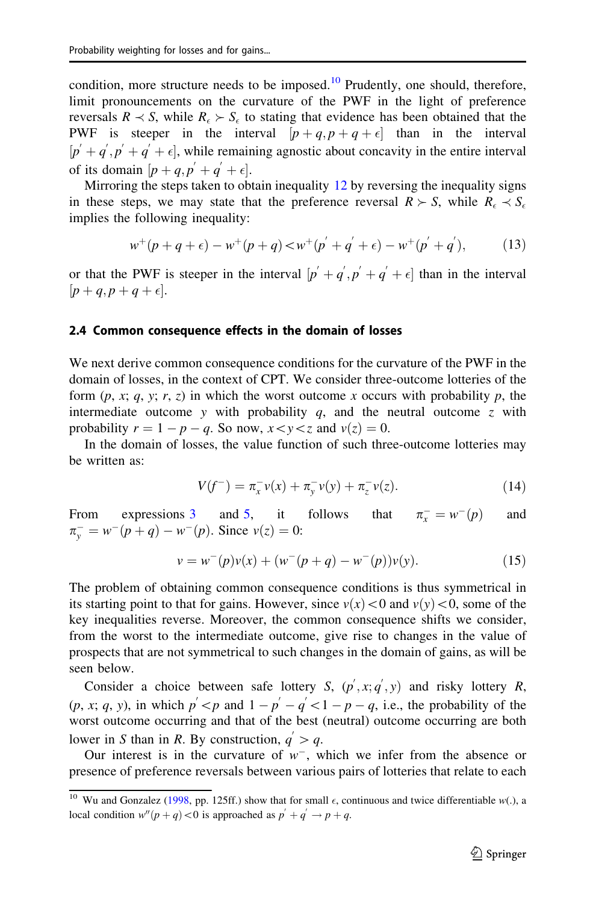<span id="page-12-0"></span>condition, more structure needs to be imposed.<sup>10</sup> Prudently, one should, therefore, limit pronouncements on the curvature of the PWF in the light of preference reversals  $R \prec S$ , while  $R_{\epsilon} \succ S_{\epsilon}$  to stating that evidence has been obtained that the PWF is steeper in the interval  $[p+q, p+q+\epsilon]$  than in the interval  $[p + q', p' + q' + \epsilon]$ , while remaining agnostic about concavity in the entire interval of its domain  $[p+q, p' + q' + \epsilon]$ .

Mirroring the steps taken to obtain inequality  $12$  by reversing the inequality signs in these steps, we may state that the preference reversal  $R \succ S$ , while  $R_{\epsilon} \prec S_{\epsilon}$ implies the following inequality:

$$
w^{+}(p+q+\epsilon) - w^{+}(p+q) < w^{+}(p^{'}+q^{'}+\epsilon) - w^{+}(p^{'}+q^{'}), \tag{13}
$$

or that the PWF is steeper in the interval  $[p' + q', p' + q' + \epsilon]$  than in the interval  $[p+q,p+q+\epsilon].$ 

#### 2.4 Common consequence effects in the domain of losses

We next derive common consequence conditions for the curvature of the PWF in the domain of losses, in the context of CPT. We consider three-outcome lotteries of the form  $(p, x; q, y; r, z)$  in which the worst outcome x occurs with probability p, the intermediate outcome y with probability  $q$ , and the neutral outcome  $z$  with probability  $r = 1 - p - q$ . So now,  $x \lt y \lt z$  and  $v(z) = 0$ .

In the domain of losses, the value function of such three-outcome lotteries may be written as:

$$
V(f^-) = \pi_x^- \nu(x) + \pi_y^- \nu(y) + \pi_z^- \nu(z). \tag{14}
$$

From expressions  $3$  and  $5$ , it follows that  $\pi_v^- = w^-(p)$  and  $\pi_y^- = w^-(p+q) - w^-(p)$ . Since  $v(z) = 0$ :

$$
v = w^{-}(p)v(x) + (w^{-}(p+q) - w^{-}(p))v(y).
$$
 (15)

The problem of obtaining common consequence conditions is thus symmetrical in its starting point to that for gains. However, since  $v(x) < 0$  and  $v(y) < 0$ , some of the key inequalities reverse. Moreover, the common consequence shifts we consider, from the worst to the intermediate outcome, give rise to changes in the value of prospects that are not symmetrical to such changes in the domain of gains, as will be seen below.

Consider a choice between safe lottery S,  $(p', x; q', y)$  and risky lottery R,  $(p, x; q, y)$ , in which  $p' < p$  and  $1 - p' - q' < 1 - p - q$ , i.e., the probability of the worst outcome occurring and that of the best (neutral) outcome occurring are both lower in S than in R. By construction,  $q' > q$ .

Our interest is in the curvature of  $w^-$ , which we infer from the absence or presence of preference reversals between various pairs of lotteries that relate to each

<sup>&</sup>lt;sup>10</sup> Wu and Gonzalez ([1998](#page-35-0), pp. 125ff.) show that for small  $\epsilon$ , continuous and twice differentiable w(.), a local condition  $w''(p+q) < 0$  is approached as  $p' + q' \rightarrow p + q$ .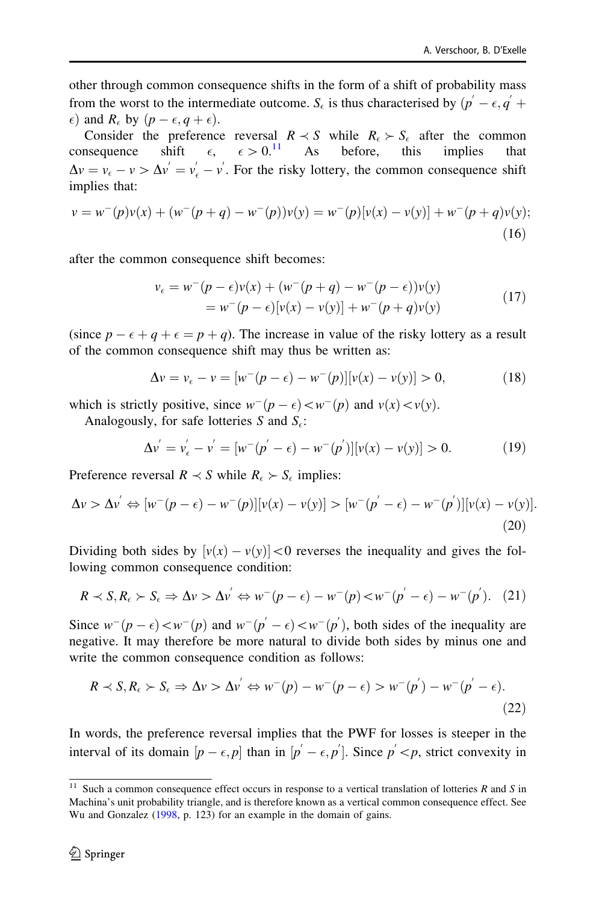other through common consequence shifts in the form of a shift of probability mass from the worst to the intermediate outcome.  $S_{\epsilon}$  is thus characterised by  $(p' - \epsilon, q' + \epsilon)$  $\epsilon$ ) and  $R_{\epsilon}$  by  $(p - \epsilon, q + \epsilon)$ .

Consider the preference reversal  $R \prec S$  while  $R_{\epsilon} \succ S_{\epsilon}$  after the common consequence shift  $\epsilon$ .  $\epsilon > 0$ .<sup>11</sup> As before, this implies that  $\Delta v = v_{\epsilon} - v > \Delta v' = v'_{\epsilon} - v'$ . For the risky lottery, the common consequence shift implies that:

$$
v = w^-(p)v(x) + (w^-(p+q) - w^-(p))v(y) = w^-(p)[v(x) - v(y)] + w^-(p+q)v(y);
$$
\n(16)

after the common consequence shift becomes:

$$
\nu_{\epsilon} = w^{-}(p - \epsilon)v(x) + (w^{-}(p + q) - w^{-}(p - \epsilon))v(y)
$$
  
=  $w^{-}(p - \epsilon)[v(x) - v(y)] + w^{-}(p + q)v(y)$  (17)

(since  $p - \epsilon + q + \epsilon = p + q$ ). The increase in value of the risky lottery as a result of the common consequence shift may thus be written as:

$$
\Delta v = v_{\epsilon} - v = [w^-(p - \epsilon) - w^-(p)][v(x) - v(y)] > 0,
$$
\n(18)

which is strictly positive, since  $w^-(p - \epsilon) < w^-(p)$  and  $v(x) < v(y)$ .

Analogously, for safe lotteries S and  $S_{\epsilon}$ :

$$
\Delta v^{'} = v_{\epsilon}^{'} - v^{'} = [w^{'}(p^{'} - \epsilon) - w^{'}(p^{'})][v(x) - v(y)] > 0.
$$
 (19)

Preference reversal  $R \prec S$  while  $R_{\epsilon} \succ S_{\epsilon}$  implies:

$$
\Delta v > \Delta v' \Leftrightarrow [w^-(p-\epsilon)-w^-(p)][v(x)-v(y)] > [w^-(p'-\epsilon)-w^-(p')] [v(x)-v(y)].
$$
\n(20)

Dividing both sides by  $[v(x) - v(y)] < 0$  reverses the inequality and gives the following common consequence condition:

$$
R \prec S, R_{\epsilon} \succ S_{\epsilon} \Rightarrow \Delta v > \Delta v' \Leftrightarrow w^{-}(p - \epsilon) - w^{-}(p) < w^{-}(p' - \epsilon) - w^{-}(p'). \quad (21)
$$

Since  $w^-(p - \epsilon) < w^-(p)$  and  $w^-(p' - \epsilon) < w^-(p')$ , both sides of the inequality are negative. It may therefore be more natural to divide both sides by minus one and write the common consequence condition as follows:

$$
R \prec S, R_{\epsilon} \succ S_{\epsilon} \Rightarrow \Delta v > \Delta v' \Leftrightarrow w^{-}(p) - w^{-}(p - \epsilon) > w^{-}(p') - w^{-}(p' - \epsilon).
$$
\n(22)

In words, the preference reversal implies that the PWF for losses is steeper in the interval of its domain  $[p - \epsilon, p]$  than in  $[p' - \epsilon, p']$ . Since  $p' < p$ , strict convexity in

 $11$  Such a common consequence effect occurs in response to a vertical translation of lotteries R and S in Machina's unit probability triangle, and is therefore known as a vertical common consequence effect. See Wu and Gonzalez ([1998,](#page-35-0) p. 123) for an example in the domain of gains.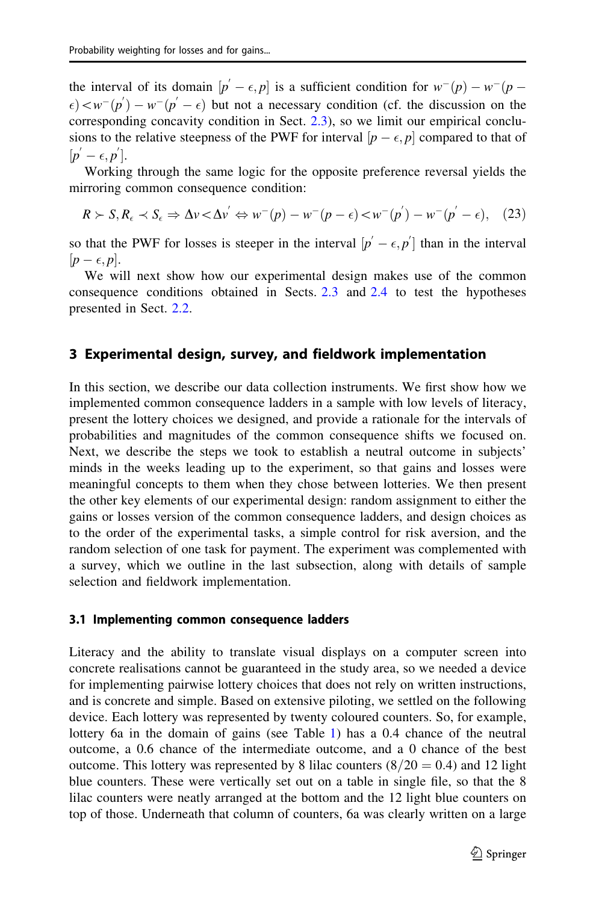<span id="page-14-0"></span>the interval of its domain  $[p' - \epsilon, p]$  is a sufficient condition for  $w^-(p) - w^-(p - \epsilon)$  $\epsilon$   $\langle e \rangle$   $\langle w^{-}(p') - w^{-}(p' - \epsilon)$  but not a necessary condition (cf. the discussion on the corresponding concavity condition in Sect. [2.3\)](#page-10-0), so we limit our empirical conclusions to the relative steepness of the PWF for interval  $[p - \epsilon, p]$  compared to that of  $[p'-\epsilon,p'].$ 

Working through the same logic for the opposite preference reversal yields the mirroring common consequence condition:

$$
R \succ S, R_{\epsilon} \prec S_{\epsilon} \Rightarrow \Delta v \prec \Delta v^{'} \Leftrightarrow w^{-}(p) - w^{-}(p - \epsilon) \prec w^{-}(p^{'}) - w^{-}(p^{'} - \epsilon), \quad (23)
$$

so that the PWF for losses is steeper in the interval  $[p' - \epsilon, p']$  than in the interval  $[p-\epsilon, p].$ 

We will next show how our experimental design makes use of the common consequence conditions obtained in Sects. [2.3](#page-10-0) and [2.4](#page-12-0) to test the hypotheses presented in Sect. [2.2](#page-7-0).

### 3 Experimental design, survey, and fieldwork implementation

In this section, we describe our data collection instruments. We first show how we implemented common consequence ladders in a sample with low levels of literacy, present the lottery choices we designed, and provide a rationale for the intervals of probabilities and magnitudes of the common consequence shifts we focused on. Next, we describe the steps we took to establish a neutral outcome in subjects' minds in the weeks leading up to the experiment, so that gains and losses were meaningful concepts to them when they chose between lotteries. We then present the other key elements of our experimental design: random assignment to either the gains or losses version of the common consequence ladders, and design choices as to the order of the experimental tasks, a simple control for risk aversion, and the random selection of one task for payment. The experiment was complemented with a survey, which we outline in the last subsection, along with details of sample selection and fieldwork implementation.

#### 3.1 Implementing common consequence ladders

Literacy and the ability to translate visual displays on a computer screen into concrete realisations cannot be guaranteed in the study area, so we needed a device for implementing pairwise lottery choices that does not rely on written instructions, and is concrete and simple. Based on extensive piloting, we settled on the following device. Each lottery was represented by twenty coloured counters. So, for example, lottery 6a in the domain of gains (see Table [1](#page-15-0)) has a 0.4 chance of the neutral outcome, a 0.6 chance of the intermediate outcome, and a 0 chance of the best outcome. This lottery was represented by 8 lilac counters  $(8/20 = 0.4)$  and 12 light blue counters. These were vertically set out on a table in single file, so that the 8 lilac counters were neatly arranged at the bottom and the 12 light blue counters on top of those. Underneath that column of counters, 6a was clearly written on a large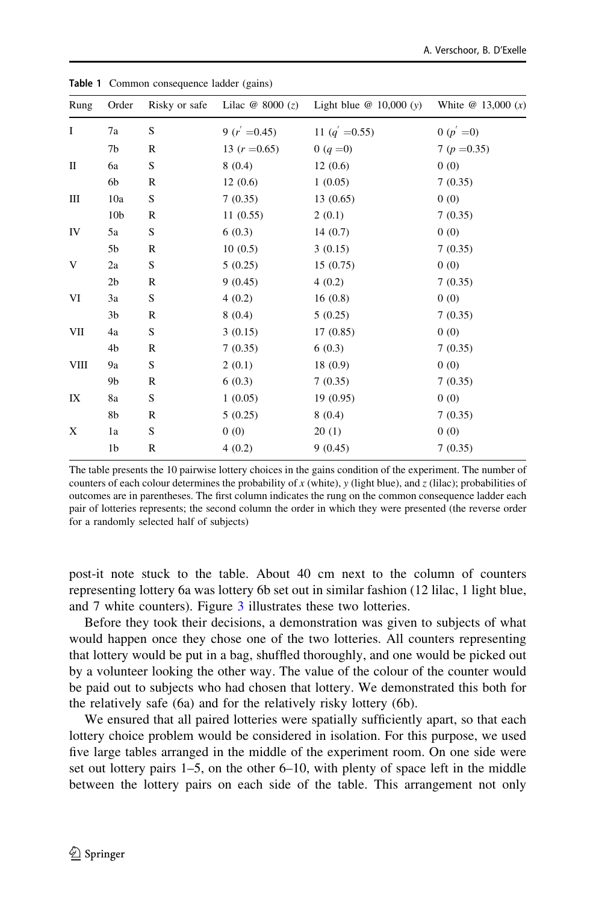| Rung | Order           |              | Risky or safe Lilac $\omega$ 8000 (z) | Light blue $@ 10,000 (y)$ | White $@ 13,000(x)$ |
|------|-----------------|--------------|---------------------------------------|---------------------------|---------------------|
| I    | 7a              | S            | 9 $(r' = 0.45)$                       | 11 ( $q' = 0.55$ )        | 0 $(p' = 0)$        |
|      | 7b              | R            | 13 $(r = 0.65)$                       | 0 $(q = 0)$               | 7 ( $p = 0.35$ )    |
| П    | 6a              | S            | 8(0.4)                                | 12(0.6)                   | 0(0)                |
|      | 6b              | R            | 12(0.6)                               | 1(0.05)                   | 7(0.35)             |
| Ш    | 10a             | S            | 7(0.35)                               | 13(0.65)                  | 0(0)                |
|      | 10 <sub>b</sub> | R            | 11(0.55)                              | 2(0.1)                    | 7(0.35)             |
| IV   | 5a              | S            | 6(0.3)                                | 14(0.7)                   | 0(0)                |
|      | 5b              | R            | 10(0.5)                               | 3(0.15)                   | 7(0.35)             |
| V    | 2a              | S            | 5(0.25)                               | 15(0.75)                  | 0(0)                |
|      | 2 <sub>b</sub>  | $\mathbb R$  | 9(0.45)                               | 4(0.2)                    | 7(0.35)             |
| VI   | 3a              | S            | 4(0.2)                                | 16(0.8)                   | 0(0)                |
|      | 3b              | R            | 8(0.4)                                | 5(0.25)                   | 7(0.35)             |
| VII  | 4a              | S            | 3(0.15)                               | 17(0.85)                  | 0(0)                |
|      | 4b              | $\mathbb R$  | 7(0.35)                               | 6(0.3)                    | 7(0.35)             |
| VIII | 9а              | S            | 2(0.1)                                | 18(0.9)                   | 0(0)                |
|      | 9b              | $\mathbb{R}$ | 6(0.3)                                | 7(0.35)                   | 7(0.35)             |
| IX   | 8a              | S            | 1(0.05)                               | 19(0.95)                  | 0(0)                |
|      | 8b              | $\mathbb R$  | 5(0.25)                               | 8(0.4)                    | 7(0.35)             |
| X    | 1a              | S            | 0(0)                                  | 20(1)                     | 0(0)                |
|      | 1b              | $\mathbb R$  | 4(0.2)                                | 9(0.45)                   | 7(0.35)             |
|      |                 |              |                                       |                           |                     |

<span id="page-15-0"></span>Table 1 Common consequence ladder (gains)

The table presents the 10 pairwise lottery choices in the gains condition of the experiment. The number of counters of each colour determines the probability of x (white), y (light blue), and z (lilac); probabilities of outcomes are in parentheses. The first column indicates the rung on the common consequence ladder each pair of lotteries represents; the second column the order in which they were presented (the reverse order for a randomly selected half of subjects)

post-it note stuck to the table. About 40 cm next to the column of counters representing lottery 6a was lottery 6b set out in similar fashion (12 lilac, 1 light blue, and 7 white counters). Figure [3](#page-16-0) illustrates these two lotteries.

Before they took their decisions, a demonstration was given to subjects of what would happen once they chose one of the two lotteries. All counters representing that lottery would be put in a bag, shuffled thoroughly, and one would be picked out by a volunteer looking the other way. The value of the colour of the counter would be paid out to subjects who had chosen that lottery. We demonstrated this both for the relatively safe (6a) and for the relatively risky lottery (6b).

We ensured that all paired lotteries were spatially sufficiently apart, so that each lottery choice problem would be considered in isolation. For this purpose, we used five large tables arranged in the middle of the experiment room. On one side were set out lottery pairs 1–5, on the other 6–10, with plenty of space left in the middle between the lottery pairs on each side of the table. This arrangement not only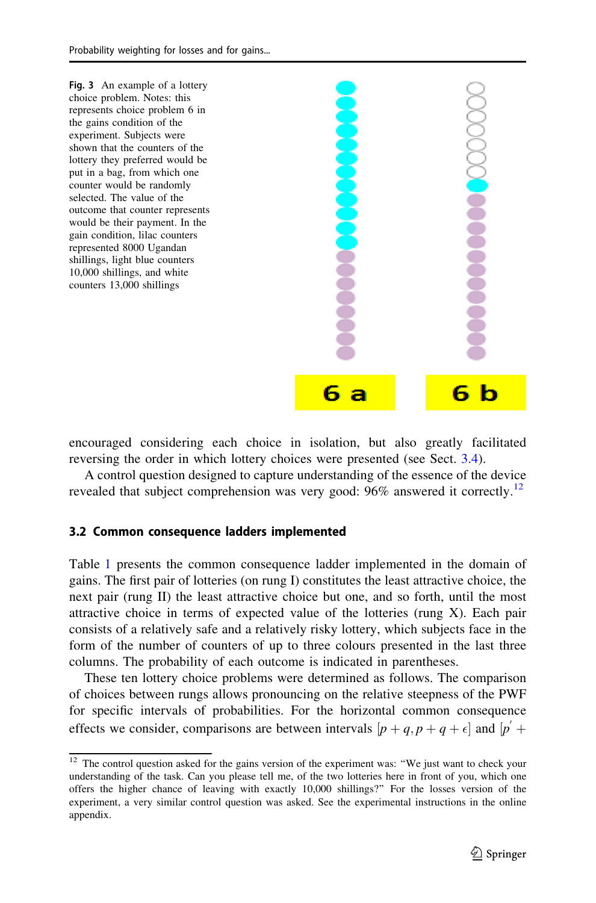<span id="page-16-0"></span>

encouraged considering each choice in isolation, but also greatly facilitated reversing the order in which lottery choices were presented (see Sect. [3.4\)](#page-19-0).

A control question designed to capture understanding of the essence of the device revealed that subject comprehension was very good: 96% answered it correctly.<sup>12</sup>

#### 3.2 Common consequence ladders implemented

Table [1](#page-15-0) presents the common consequence ladder implemented in the domain of gains. The first pair of lotteries (on rung I) constitutes the least attractive choice, the next pair (rung II) the least attractive choice but one, and so forth, until the most attractive choice in terms of expected value of the lotteries (rung X). Each pair consists of a relatively safe and a relatively risky lottery, which subjects face in the form of the number of counters of up to three colours presented in the last three columns. The probability of each outcome is indicated in parentheses.

These ten lottery choice problems were determined as follows. The comparison of choices between rungs allows pronouncing on the relative steepness of the PWF for specific intervals of probabilities. For the horizontal common consequence effects we consider, comparisons are between intervals  $[p+q, p+q+\epsilon]$  and  $[p'+q, p+q+\epsilon]$ 

<sup>&</sup>lt;sup>12</sup> The control question asked for the gains version of the experiment was: "We just want to check your understanding of the task. Can you please tell me, of the two lotteries here in front of you, which one offers the higher chance of leaving with exactly 10,000 shillings?'' For the losses version of the experiment, a very similar control question was asked. See the experimental instructions in the online appendix.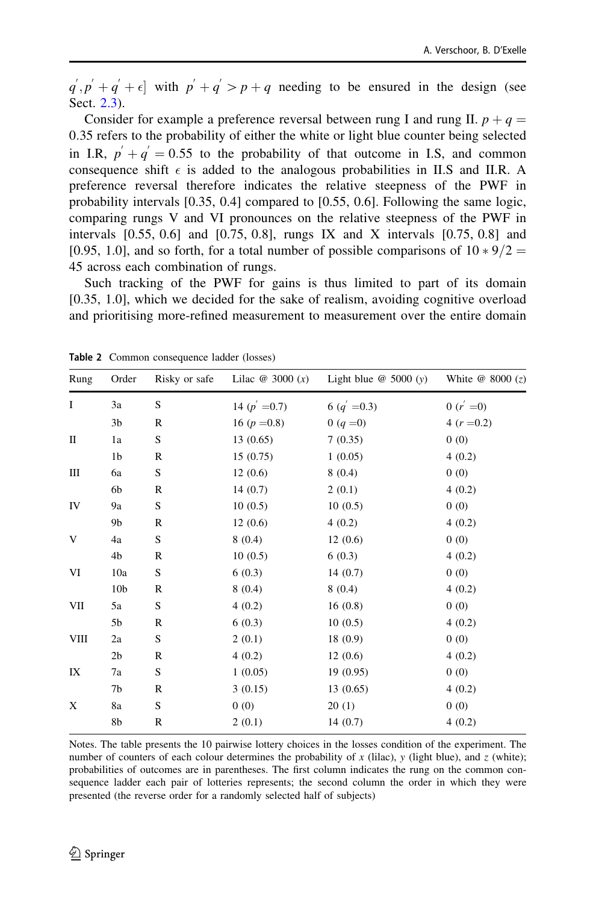<span id="page-17-0"></span> $q', p' + q' + \epsilon$  with  $p' + q' > p + q$  needing to be ensured in the design (see Sect. [2.3\)](#page-10-0).

Consider for example a preference reversal between rung I and rung II.  $p + q =$ 0:35 refers to the probability of either the white or light blue counter being selected in I.R,  $p' + q' = 0.55$  to the probability of that outcome in I.S, and common consequence shift  $\epsilon$  is added to the analogous probabilities in II.S and II.R. A preference reversal therefore indicates the relative steepness of the PWF in probability intervals [0.35, 0.4] compared to [0.55, 0.6]. Following the same logic, comparing rungs V and VI pronounces on the relative steepness of the PWF in intervals  $[0.55, 0.6]$  and  $[0.75, 0.8]$ , rungs IX and X intervals  $[0.75, 0.8]$  and [0.95, 1.0], and so forth, for a total number of possible comparisons of  $10 * 9/2 =$ 45 across each combination of rungs.

Such tracking of the PWF for gains is thus limited to part of its domain [0.35, 1.0], which we decided for the sake of realism, avoiding cognitive overload and prioritising more-refined measurement to measurement over the entire domain

| Rung         | Order           | Risky or safe | Lilac $\omega$ 3000 $(x)$ | Light blue $\omega$ 5000 (y) | White $@ 8000(z)$ |
|--------------|-----------------|---------------|---------------------------|------------------------------|-------------------|
| $\bf{I}$     | 3a              | S             | 14 ( $p' = 0.7$ )         | 6 ( $q' = 0.3$ )             | 0 $(r = 0)$       |
|              | 3 <sub>b</sub>  | $\mathbb R$   | 16 ( $p = 0.8$ )          | 0 ( $q = 0$ )                | 4 $(r = 0.2)$     |
| $\mathbf{I}$ | 1a              | S             | 13(0.65)                  | 7(0.35)                      | 0(0)              |
|              | 1 <sub>b</sub>  | R             | 15(0.75)                  | 1(0.05)                      | 4(0.2)            |
| Ш            | 6a              | $\mathbf S$   | 12(0.6)                   | 8(0.4)                       | 0(0)              |
|              | 6b              | $\mathbb{R}$  | 14(0.7)                   | 2(0.1)                       | 4(0.2)            |
| IV           | 9а              | S             | 10(0.5)                   | 10(0.5)                      | 0(0)              |
|              | 9 <sub>b</sub>  | $\mathbb R$   | 12(0.6)                   | 4(0.2)                       | 4(0.2)            |
| V            | 4a              | S             | 8(0.4)                    | 12(0.6)                      | 0(0)              |
|              | 4b              | R             | 10(0.5)                   | 6(0.3)                       | 4(0.2)            |
| VI           | 10a             | $\mathbf S$   | 6(0.3)                    | 14(0.7)                      | 0(0)              |
|              | 10 <sub>b</sub> | $\mathbb R$   | 8(0.4)                    | 8(0.4)                       | 4(0.2)            |
| VII          | 5a              | S             | 4(0.2)                    | 16(0.8)                      | 0(0)              |
|              | 5b              | $\mathbb{R}$  | 6(0.3)                    | 10(0.5)                      | 4(0.2)            |
| VIII         | 2a              | $\mathbf S$   | 2(0.1)                    | 18(0.9)                      | 0(0)              |
|              | 2 <sub>b</sub>  | R             | 4(0.2)                    | 12(0.6)                      | 4(0.2)            |
| IX           | 7a              | S             | 1(0.05)                   | 19(0.95)                     | 0(0)              |
|              | 7b              | $\mathbb{R}$  | 3(0.15)                   | 13(0.65)                     | 4(0.2)            |
| X            | 8a              | $\mathbf S$   | 0(0)                      | 20(1)                        | 0(0)              |
|              | 8b              | $\mathbb{R}$  | 2(0.1)                    | 14(0.7)                      | 4(0.2)            |
|              |                 |               |                           |                              |                   |

Table 2 Common consequence ladder (losses)

Notes. The table presents the 10 pairwise lottery choices in the losses condition of the experiment. The number of counters of each colour determines the probability of  $x$  (lilac),  $y$  (light blue), and  $z$  (white); probabilities of outcomes are in parentheses. The first column indicates the rung on the common consequence ladder each pair of lotteries represents; the second column the order in which they were presented (the reverse order for a randomly selected half of subjects)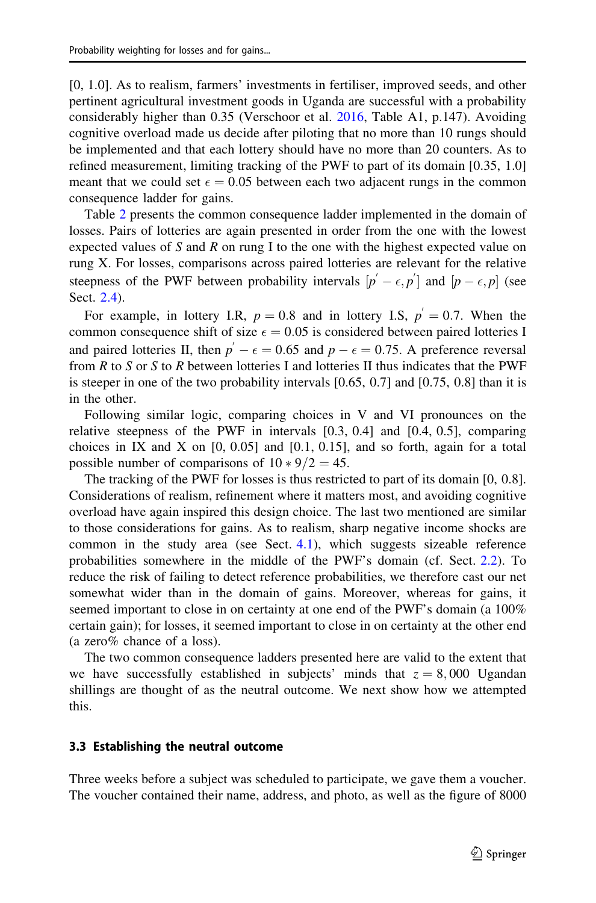<span id="page-18-0"></span>[0, 1.0]. As to realism, farmers' investments in fertiliser, improved seeds, and other pertinent agricultural investment goods in Uganda are successful with a probability considerably higher than 0.35 (Verschoor et al. [2016](#page-35-0), Table A1, p.147). Avoiding cognitive overload made us decide after piloting that no more than 10 rungs should be implemented and that each lottery should have no more than 20 counters. As to refined measurement, limiting tracking of the PWF to part of its domain [0.35, 1.0] meant that we could set  $\epsilon = 0.05$  between each two adjacent rungs in the common consequence ladder for gains.

Table [2](#page-17-0) presents the common consequence ladder implemented in the domain of losses. Pairs of lotteries are again presented in order from the one with the lowest expected values of S and R on rung I to the one with the highest expected value on rung X. For losses, comparisons across paired lotteries are relevant for the relative steepness of the PWF between probability intervals  $[p' - \epsilon, p']$  and  $[p - \epsilon, p]$  (see Sect. [2.4\)](#page-12-0).

For example, in lottery I.R,  $p = 0.8$  and in lottery I.S,  $p' = 0.7$ . When the common consequence shift of size  $\epsilon = 0.05$  is considered between paired lotteries I and paired lotteries II, then  $p' - \epsilon = 0.65$  and  $p - \epsilon = 0.75$ . A preference reversal from R to S or S to R between lotteries I and lotteries II thus indicates that the PWF is steeper in one of the two probability intervals [0.65, 0.7] and [0.75, 0.8] than it is in the other.

Following similar logic, comparing choices in V and VI pronounces on the relative steepness of the PWF in intervals [0.3, 0.4] and [0.4, 0.5], comparing choices in IX and X on  $[0, 0.05]$  and  $[0.1, 0.15]$ , and so forth, again for a total possible number of comparisons of  $10 \times 9/2 = 45$ .

The tracking of the PWF for losses is thus restricted to part of its domain [0, 0.8]. Considerations of realism, refinement where it matters most, and avoiding cognitive overload have again inspired this design choice. The last two mentioned are similar to those considerations for gains. As to realism, sharp negative income shocks are common in the study area (see Sect.  $4.1$ ), which suggests sizeable reference probabilities somewhere in the middle of the PWF's domain (cf. Sect. [2.2\)](#page-7-0). To reduce the risk of failing to detect reference probabilities, we therefore cast our net somewhat wider than in the domain of gains. Moreover, whereas for gains, it seemed important to close in on certainty at one end of the PWF's domain (a  $100\%$ certain gain); for losses, it seemed important to close in on certainty at the other end (a zero% chance of a loss).

The two common consequence ladders presented here are valid to the extent that we have successfully established in subjects' minds that  $z = 8,000$  Ugandan shillings are thought of as the neutral outcome. We next show how we attempted this.

#### 3.3 Establishing the neutral outcome

Three weeks before a subject was scheduled to participate, we gave them a voucher. The voucher contained their name, address, and photo, as well as the figure of 8000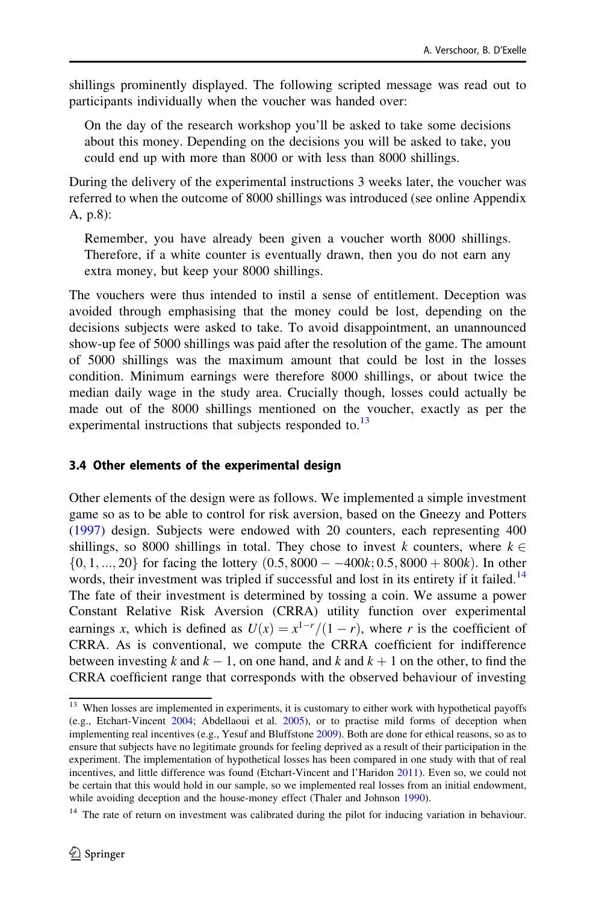<span id="page-19-0"></span>shillings prominently displayed. The following scripted message was read out to participants individually when the voucher was handed over:

On the day of the research workshop you'll be asked to take some decisions about this money. Depending on the decisions you will be asked to take, you could end up with more than 8000 or with less than 8000 shillings.

During the delivery of the experimental instructions 3 weeks later, the voucher was referred to when the outcome of 8000 shillings was introduced (see online Appendix A, p.8):

Remember, you have already been given a voucher worth 8000 shillings. Therefore, if a white counter is eventually drawn, then you do not earn any extra money, but keep your 8000 shillings.

The vouchers were thus intended to instil a sense of entitlement. Deception was avoided through emphasising that the money could be lost, depending on the decisions subjects were asked to take. To avoid disappointment, an unannounced show-up fee of 5000 shillings was paid after the resolution of the game. The amount of 5000 shillings was the maximum amount that could be lost in the losses condition. Minimum earnings were therefore 8000 shillings, or about twice the median daily wage in the study area. Crucially though, losses could actually be made out of the 8000 shillings mentioned on the voucher, exactly as per the experimental instructions that subjects responded to. $^{13}$ 

#### 3.4 Other elements of the experimental design

Other elements of the design were as follows. We implemented a simple investment game so as to be able to control for risk aversion, based on the Gneezy and Potters [\(1997](#page-34-0)) design. Subjects were endowed with 20 counters, each representing 400 shillings, so 8000 shillings in total. They chose to invest k counters, where  $k \in$  $\{0, 1, \ldots, 20\}$  for facing the lottery  $(0.5, 8000 - -400k; 0.5, 8000 + 800k)$ . In other words, their investment was tripled if successful and lost in its entirety if it failed.<sup>14</sup> The fate of their investment is determined by tossing a coin. We assume a power Constant Relative Risk Aversion (CRRA) utility function over experimental earnings x, which is defined as  $U(x) = x^{1-r}/(1-r)$ , where r is the coefficient of CRRA. As is conventional, we compute the CRRA coefficient for indifference between investing k and  $k - 1$ , on one hand, and k and  $k + 1$  on the other, to find the CRRA coefficient range that corresponds with the observed behaviour of investing

<sup>&</sup>lt;sup>13</sup> When losses are implemented in experiments, it is customary to either work with hypothetical payoffs (e.g., Etchart-Vincent [2004](#page-34-0); Abdellaoui et al. [2005\)](#page-34-0), or to practise mild forms of deception when implementing real incentives (e.g., Yesuf and Bluffstone [2009](#page-35-0)). Both are done for ethical reasons, so as to ensure that subjects have no legitimate grounds for feeling deprived as a result of their participation in the experiment. The implementation of hypothetical losses has been compared in one study with that of real incentives, and little difference was found (Etchart-Vincent and l'Haridon [2011\)](#page-34-0). Even so, we could not be certain that this would hold in our sample, so we implemented real losses from an initial endowment, while avoiding deception and the house-money effect (Thaler and Johnson [1990\)](#page-35-0).

<sup>&</sup>lt;sup>14</sup> The rate of return on investment was calibrated during the pilot for inducing variation in behaviour.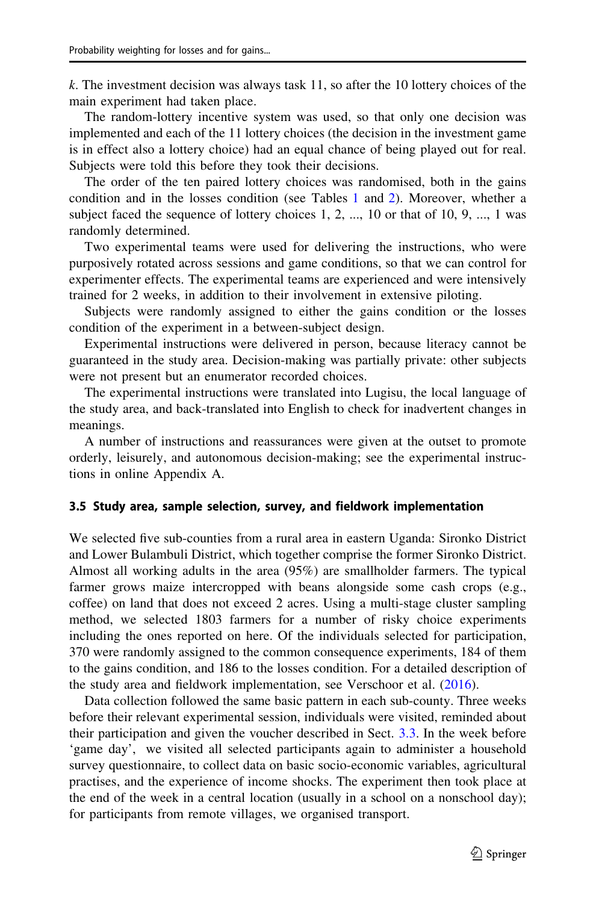k. The investment decision was always task 11, so after the 10 lottery choices of the main experiment had taken place.

The random-lottery incentive system was used, so that only one decision was implemented and each of the 11 lottery choices (the decision in the investment game is in effect also a lottery choice) had an equal chance of being played out for real. Subjects were told this before they took their decisions.

The order of the ten paired lottery choices was randomised, both in the gains condition and in the losses condition (see Tables [1](#page-15-0) and [2\)](#page-17-0). Moreover, whether a subject faced the sequence of lottery choices  $1, 2, \ldots, 10$  or that of  $10, 9, \ldots, 1$  was randomly determined.

Two experimental teams were used for delivering the instructions, who were purposively rotated across sessions and game conditions, so that we can control for experimenter effects. The experimental teams are experienced and were intensively trained for 2 weeks, in addition to their involvement in extensive piloting.

Subjects were randomly assigned to either the gains condition or the losses condition of the experiment in a between-subject design.

Experimental instructions were delivered in person, because literacy cannot be guaranteed in the study area. Decision-making was partially private: other subjects were not present but an enumerator recorded choices.

The experimental instructions were translated into Lugisu, the local language of the study area, and back-translated into English to check for inadvertent changes in meanings.

A number of instructions and reassurances were given at the outset to promote orderly, leisurely, and autonomous decision-making; see the experimental instructions in online Appendix A.

#### 3.5 Study area, sample selection, survey, and fieldwork implementation

We selected five sub-counties from a rural area in eastern Uganda: Sironko District and Lower Bulambuli District, which together comprise the former Sironko District. Almost all working adults in the area (95%) are smallholder farmers. The typical farmer grows maize intercropped with beans alongside some cash crops (e.g., coffee) on land that does not exceed 2 acres. Using a multi-stage cluster sampling method, we selected 1803 farmers for a number of risky choice experiments including the ones reported on here. Of the individuals selected for participation, 370 were randomly assigned to the common consequence experiments, 184 of them to the gains condition, and 186 to the losses condition. For a detailed description of the study area and fieldwork implementation, see Verschoor et al. ([2016\)](#page-35-0).

Data collection followed the same basic pattern in each sub-county. Three weeks before their relevant experimental session, individuals were visited, reminded about their participation and given the voucher described in Sect. [3.3.](#page-18-0) In the week before 'game day', we visited all selected participants again to administer a household survey questionnaire, to collect data on basic socio-economic variables, agricultural practises, and the experience of income shocks. The experiment then took place at the end of the week in a central location (usually in a school on a nonschool day); for participants from remote villages, we organised transport.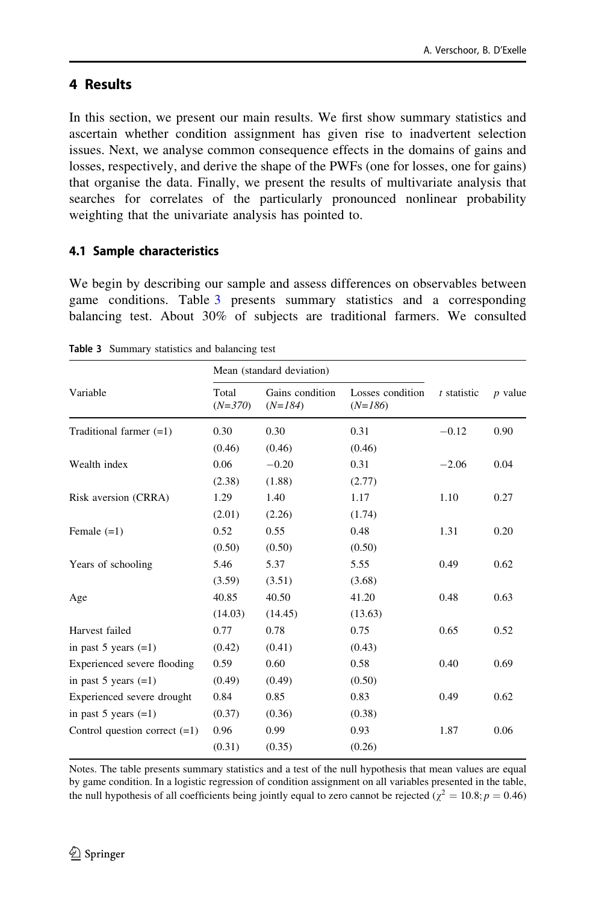## <span id="page-21-0"></span>4 Results

In this section, we present our main results. We first show summary statistics and ascertain whether condition assignment has given rise to inadvertent selection issues. Next, we analyse common consequence effects in the domains of gains and losses, respectively, and derive the shape of the PWFs (one for losses, one for gains) that organise the data. Finally, we present the results of multivariate analysis that searches for correlates of the particularly pronounced nonlinear probability weighting that the univariate analysis has pointed to.

## 4.1 Sample characteristics

We begin by describing our sample and assess differences on observables between game conditions. Table 3 presents summary statistics and a corresponding balancing test. About 30% of subjects are traditional farmers. We consulted

|                                 |                    | Mean (standard deviation)    |                               |             |           |
|---------------------------------|--------------------|------------------------------|-------------------------------|-------------|-----------|
| Variable                        | Total<br>$(N=370)$ | Gains condition<br>$(N=184)$ | Losses condition<br>$(N=186)$ | t statistic | $p$ value |
| Traditional farmer $(=1)$       | 0.30               | 0.30                         | 0.31                          | $-0.12$     | 0.90      |
|                                 | (0.46)             | (0.46)                       | (0.46)                        |             |           |
| Wealth index                    | 0.06               | $-0.20$                      | 0.31                          | $-2.06$     | 0.04      |
|                                 | (2.38)             | (1.88)                       | (2.77)                        |             |           |
| Risk aversion (CRRA)            | 1.29               | 1.40                         | 1.17                          | 1.10        | 0.27      |
|                                 | (2.01)             | (2.26)                       | (1.74)                        |             |           |
| Female $(=1)$                   | 0.52               | 0.55                         | 0.48                          | 1.31        | 0.20      |
|                                 | (0.50)             | (0.50)                       | (0.50)                        |             |           |
| Years of schooling              | 5.46               | 5.37                         | 5.55                          | 0.49        | 0.62      |
|                                 | (3.59)             | (3.51)                       | (3.68)                        |             |           |
| Age                             | 40.85              | 40.50                        | 41.20                         | 0.48        | 0.63      |
|                                 | (14.03)            | (14.45)                      | (13.63)                       |             |           |
| Harvest failed                  | 0.77               | 0.78                         | 0.75                          | 0.65        | 0.52      |
| in past 5 years $(=1)$          | (0.42)             | (0.41)                       | (0.43)                        |             |           |
| Experienced severe flooding     | 0.59               | 0.60                         | 0.58                          | 0.40        | 0.69      |
| in past 5 years $(=1)$          | (0.49)             | (0.49)                       | (0.50)                        |             |           |
| Experienced severe drought      | 0.84               | 0.85                         | 0.83                          | 0.49        | 0.62      |
| in past 5 years $(=1)$          | (0.37)             | (0.36)                       | (0.38)                        |             |           |
| Control question correct $(=1)$ | 0.96               | 0.99                         | 0.93                          | 1.87        | 0.06      |
|                                 | (0.31)             | (0.35)                       | (0.26)                        |             |           |

Table 3 Summary statistics and balancing test

Notes. The table presents summary statistics and a test of the null hypothesis that mean values are equal by game condition. In a logistic regression of condition assignment on all variables presented in the table, the null hypothesis of all coefficients being jointly equal to zero cannot be rejected ( $\chi^2 = 10.8; p = 0.46$ )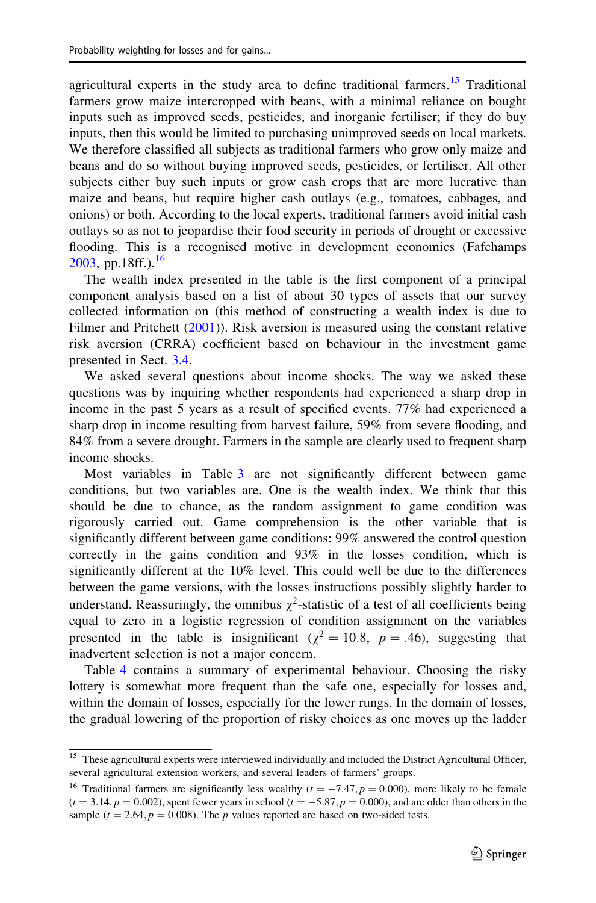agricultural experts in the study area to define traditional farmers.<sup>15</sup> Traditional farmers grow maize intercropped with beans, with a minimal reliance on bought inputs such as improved seeds, pesticides, and inorganic fertiliser; if they do buy inputs, then this would be limited to purchasing unimproved seeds on local markets. We therefore classified all subjects as traditional farmers who grow only maize and beans and do so without buying improved seeds, pesticides, or fertiliser. All other subjects either buy such inputs or grow cash crops that are more lucrative than maize and beans, but require higher cash outlays (e.g., tomatoes, cabbages, and onions) or both. According to the local experts, traditional farmers avoid initial cash outlays so as not to jeopardise their food security in periods of drought or excessive flooding. This is a recognised motive in development economics (Fafchamps  $2003$ , pp.18ff.).<sup>16</sup>

The wealth index presented in the table is the first component of a principal component analysis based on a list of about 30 types of assets that our survey collected information on (this method of constructing a wealth index is due to Filmer and Pritchett [\(2001](#page-34-0))). Risk aversion is measured using the constant relative risk aversion (CRRA) coefficient based on behaviour in the investment game presented in Sect. [3.4](#page-19-0).

We asked several questions about income shocks. The way we asked these questions was by inquiring whether respondents had experienced a sharp drop in income in the past 5 years as a result of specified events. 77% had experienced a sharp drop in income resulting from harvest failure, 59% from severe flooding, and 84% from a severe drought. Farmers in the sample are clearly used to frequent sharp income shocks.

Most variables in Table [3](#page-21-0) are not significantly different between game conditions, but two variables are. One is the wealth index. We think that this should be due to chance, as the random assignment to game condition was rigorously carried out. Game comprehension is the other variable that is significantly different between game conditions: 99% answered the control question correctly in the gains condition and  $93\%$  in the losses condition, which is significantly different at the 10% level. This could well be due to the differences between the game versions, with the losses instructions possibly slightly harder to understand. Reassuringly, the omnibus  $\gamma^2$ -statistic of a test of all coefficients being equal to zero in a logistic regression of condition assignment on the variables presented in the table is insignificant ( $\chi^2 = 10.8$ , p = .46), suggesting that inadvertent selection is not a major concern.

Table [4](#page-23-0) contains a summary of experimental behaviour. Choosing the risky lottery is somewhat more frequent than the safe one, especially for losses and, within the domain of losses, especially for the lower rungs. In the domain of losses, the gradual lowering of the proportion of risky choices as one moves up the ladder

<sup>&</sup>lt;sup>15</sup> These agricultural experts were interviewed individually and included the District Agricultural Officer, several agricultural extension workers, and several leaders of farmers' groups.

<sup>&</sup>lt;sup>16</sup> Traditional farmers are significantly less wealthy ( $t = -7.47, p = 0.000$ ), more likely to be female  $(t = 3.14, p = 0.002)$ , spent fewer years in school  $(t = -5.87, p = 0.000)$ , and are older than others in the sample ( $t = 2.64$ ,  $p = 0.008$ ). The p values reported are based on two-sided tests.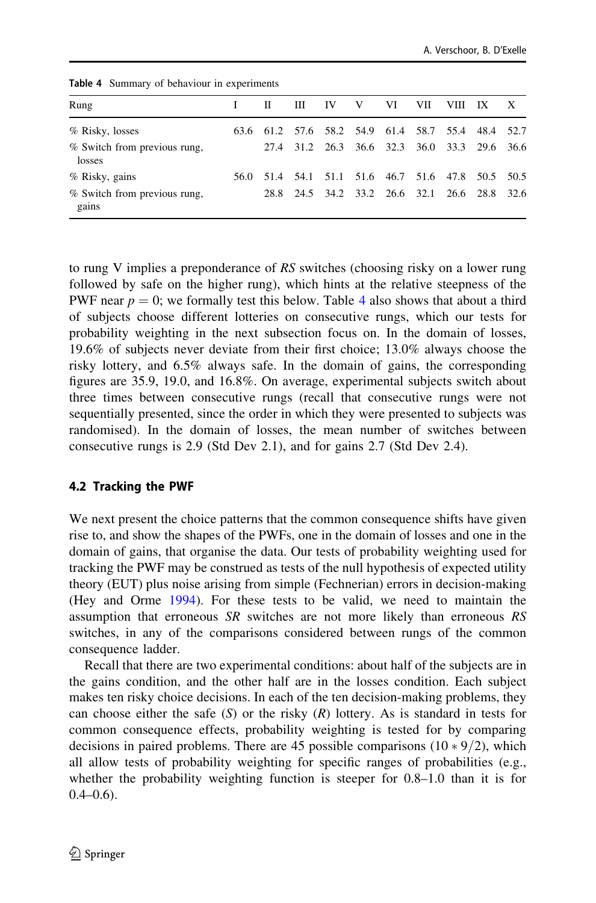| Rung                                   | П | Ш | -IV                                               | V | VI. | VII | VIII. | - IX | X |
|----------------------------------------|---|---|---------------------------------------------------|---|-----|-----|-------|------|---|
| % Risky, losses                        |   |   | 63.6 61.2 57.6 58.2 54.9 61.4 58.7 55.4 48.4 52.7 |   |     |     |       |      |   |
| % Switch from previous rung,<br>losses |   |   | 27.4 31.2 26.3 36.6 32.3 36.0 33.3 29.6 36.6      |   |     |     |       |      |   |
| % Risky, gains                         |   |   | 56.0 51.4 54.1 51.1 51.6 46.7 51.6 47.8 50.5 50.5 |   |     |     |       |      |   |
| % Switch from previous rung,<br>gains  |   |   | 28.8 24.5 34.2 33.2 26.6 32.1 26.6 28.8 32.6      |   |     |     |       |      |   |

<span id="page-23-0"></span>Table 4 Summary of behaviour in experiments

to rung V implies a preponderance of RS switches (choosing risky on a lower rung followed by safe on the higher rung), which hints at the relative steepness of the PWF near  $p = 0$ ; we formally test this below. Table 4 also shows that about a third of subjects choose different lotteries on consecutive rungs, which our tests for probability weighting in the next subsection focus on. In the domain of losses, 19.6% of subjects never deviate from their first choice; 13.0% always choose the risky lottery, and 6.5% always safe. In the domain of gains, the corresponding figures are 35.9, 19.0, and 16.8%. On average, experimental subjects switch about three times between consecutive rungs (recall that consecutive rungs were not sequentially presented, since the order in which they were presented to subjects was randomised). In the domain of losses, the mean number of switches between consecutive rungs is 2.9 (Std Dev 2.1), and for gains 2.7 (Std Dev 2.4).

## 4.2 Tracking the PWF

We next present the choice patterns that the common consequence shifts have given rise to, and show the shapes of the PWFs, one in the domain of losses and one in the domain of gains, that organise the data. Our tests of probability weighting used for tracking the PWF may be construed as tests of the null hypothesis of expected utility theory (EUT) plus noise arising from simple (Fechnerian) errors in decision-making (Hey and Orme [1994\)](#page-34-0). For these tests to be valid, we need to maintain the assumption that erroneous SR switches are not more likely than erroneous RS switches, in any of the comparisons considered between rungs of the common consequence ladder.

Recall that there are two experimental conditions: about half of the subjects are in the gains condition, and the other half are in the losses condition. Each subject makes ten risky choice decisions. In each of the ten decision-making problems, they can choose either the safe  $(S)$  or the risky  $(R)$  lottery. As is standard in tests for common consequence effects, probability weighting is tested for by comparing decisions in paired problems. There are 45 possible comparisons  $(10 * 9/2)$ , which all allow tests of probability weighting for specific ranges of probabilities (e.g., whether the probability weighting function is steeper for 0.8–1.0 than it is for  $0.4 - 0.6$ ).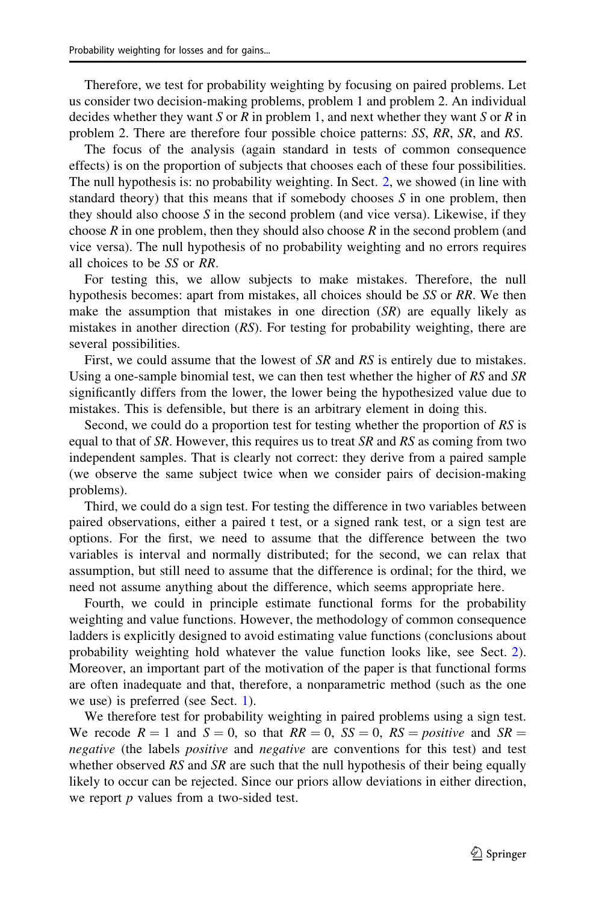Therefore, we test for probability weighting by focusing on paired problems. Let us consider two decision-making problems, problem 1 and problem 2. An individual decides whether they want S or R in problem 1, and next whether they want S or R in problem 2. There are therefore four possible choice patterns: SS, RR, SR, and RS.

The focus of the analysis (again standard in tests of common consequence effects) is on the proportion of subjects that chooses each of these four possibilities. The null hypothesis is: no probability weighting. In Sect. [2](#page-5-0), we showed (in line with standard theory) that this means that if somebody chooses  $S$  in one problem, then they should also choose  $S$  in the second problem (and vice versa). Likewise, if they choose  $R$  in one problem, then they should also choose  $R$  in the second problem (and vice versa). The null hypothesis of no probability weighting and no errors requires all choices to be SS or RR.

For testing this, we allow subjects to make mistakes. Therefore, the null hypothesis becomes: apart from mistakes, all choices should be SS or RR. We then make the assumption that mistakes in one direction  $(S<sub>R</sub>)$  are equally likely as mistakes in another direction (RS). For testing for probability weighting, there are several possibilities.

First, we could assume that the lowest of SR and RS is entirely due to mistakes. Using a one-sample binomial test, we can then test whether the higher of  $RS$  and  $SR$ significantly differs from the lower, the lower being the hypothesized value due to mistakes. This is defensible, but there is an arbitrary element in doing this.

Second, we could do a proportion test for testing whether the proportion of RS is equal to that of SR. However, this requires us to treat SR and RS as coming from two independent samples. That is clearly not correct: they derive from a paired sample (we observe the same subject twice when we consider pairs of decision-making problems).

Third, we could do a sign test. For testing the difference in two variables between paired observations, either a paired t test, or a signed rank test, or a sign test are options. For the first, we need to assume that the difference between the two variables is interval and normally distributed; for the second, we can relax that assumption, but still need to assume that the difference is ordinal; for the third, we need not assume anything about the difference, which seems appropriate here.

Fourth, we could in principle estimate functional forms for the probability weighting and value functions. However, the methodology of common consequence ladders is explicitly designed to avoid estimating value functions (conclusions about probability weighting hold whatever the value function looks like, see Sect. [2\)](#page-5-0). Moreover, an important part of the motivation of the paper is that functional forms are often inadequate and that, therefore, a nonparametric method (such as the one we use) is preferred (see Sect. [1](#page-0-0)).

We therefore test for probability weighting in paired problems using a sign test. We recode  $R = 1$  and  $S = 0$ , so that  $RR = 0$ ,  $SS = 0$ ,  $RS = positive$  and  $SR =$ negative (the labels *positive* and *negative* are conventions for this test) and test whether observed  $RS$  and  $SR$  are such that the null hypothesis of their being equally likely to occur can be rejected. Since our priors allow deviations in either direction, we report  $p$  values from a two-sided test.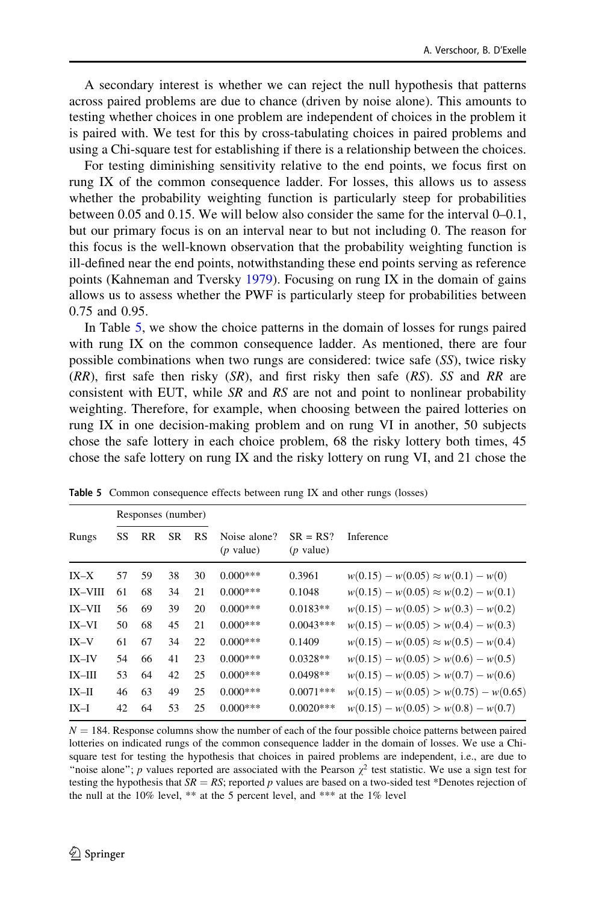<span id="page-25-0"></span>A secondary interest is whether we can reject the null hypothesis that patterns across paired problems are due to chance (driven by noise alone). This amounts to testing whether choices in one problem are independent of choices in the problem it is paired with. We test for this by cross-tabulating choices in paired problems and using a Chi-square test for establishing if there is a relationship between the choices.

For testing diminishing sensitivity relative to the end points, we focus first on rung IX of the common consequence ladder. For losses, this allows us to assess whether the probability weighting function is particularly steep for probabilities between 0.05 and 0.15. We will below also consider the same for the interval 0–0.1, but our primary focus is on an interval near to but not including 0. The reason for this focus is the well-known observation that the probability weighting function is ill-defined near the end points, notwithstanding these end points serving as reference points (Kahneman and Tversky [1979](#page-34-0)). Focusing on rung IX in the domain of gains allows us to assess whether the PWF is particularly steep for probabilities between 0.75 and 0.95.

In Table 5, we show the choice patterns in the domain of losses for rungs paired with rung IX on the common consequence ladder. As mentioned, there are four possible combinations when two rungs are considered: twice safe (SS), twice risky  $(RR)$ , first safe then risky  $(SR)$ , and first risky then safe  $(RS)$ . SS and RR are consistent with EUT, while SR and RS are not and point to nonlinear probability weighting. Therefore, for example, when choosing between the paired lotteries on rung IX in one decision-making problem and on rung VI in another, 50 subjects chose the safe lottery in each choice problem, 68 the risky lottery both times, 45 chose the safe lottery on rung IX and the risky lottery on rung VI, and 21 chose the

|                |    | Responses (number) |           |    |                             |                           |                                             |
|----------------|----|--------------------|-----------|----|-----------------------------|---------------------------|---------------------------------------------|
| Rungs          | SS | RR                 | <b>SR</b> | RS | Noise alone?<br>$(p$ value) | $SR = RS?$<br>$(p$ value) | Inference                                   |
| $IX-X$         | 57 | 59                 | 38        | 30 | $0.000***$                  | 0.3961                    | $w(0.15) - w(0.05) \approx w(0.1) - w(0)$   |
| <b>IX-VIII</b> | 61 | 68                 | 34        | 21 | $0.000***$                  | 0.1048                    | $w(0.15) - w(0.05) \approx w(0.2) - w(0.1)$ |
| <b>IX-VII</b>  | 56 | 69                 | 39        | 20 | $0.000***$                  | $0.0183**$                | $w(0.15) - w(0.05) > w(0.3) - w(0.2)$       |
| $IX-VI$        | 50 | 68                 | 45        | 21 | $0.000***$                  | $0.0043***$               | $w(0.15) - w(0.05) > w(0.4) - w(0.3)$       |
| $IX-V$         | 61 | 67                 | 34        | 22 | $0.000***$                  | 0.1409                    | $w(0.15) - w(0.05) \approx w(0.5) - w(0.4)$ |
| $IX$ -IV       | 54 | 66                 | 41        | 23 | $0.000***$                  | $0.0328**$                | $w(0.15) - w(0.05) > w(0.6) - w(0.5)$       |
| $IX$ - $III$   | 53 | 64                 | 42        | 25 | $0.000***$                  | $0.0498**$                | $w(0.15) - w(0.05) > w(0.7) - w(0.6)$       |
| $IX$ -II       | 46 | 63                 | 49        | 25 | $0.000***$                  | $0.0071***$               | $w(0.15) - w(0.05) > w(0.75) - w(0.65)$     |
| $IX-I$         | 42 | 64                 | 53        | 25 | $0.000***$                  | $0.0020***$               | $w(0.15) - w(0.05) > w(0.8) - w(0.7)$       |

Table 5 Common consequence effects between rung IX and other rungs (losses)

 $N = 184$ . Response columns show the number of each of the four possible choice patterns between paired lotteries on indicated rungs of the common consequence ladder in the domain of losses. We use a Chisquare test for testing the hypothesis that choices in paired problems are independent, i.e., are due to "noise alone"; p values reported are associated with the Pearson  $\chi^2$  test statistic. We use a sign test for testing the hypothesis that  $SR = RS$ ; reported p values are based on a two-sided test \*Denotes rejection of the null at the 10% level, \*\* at the 5 percent level, and \*\*\* at the 1% level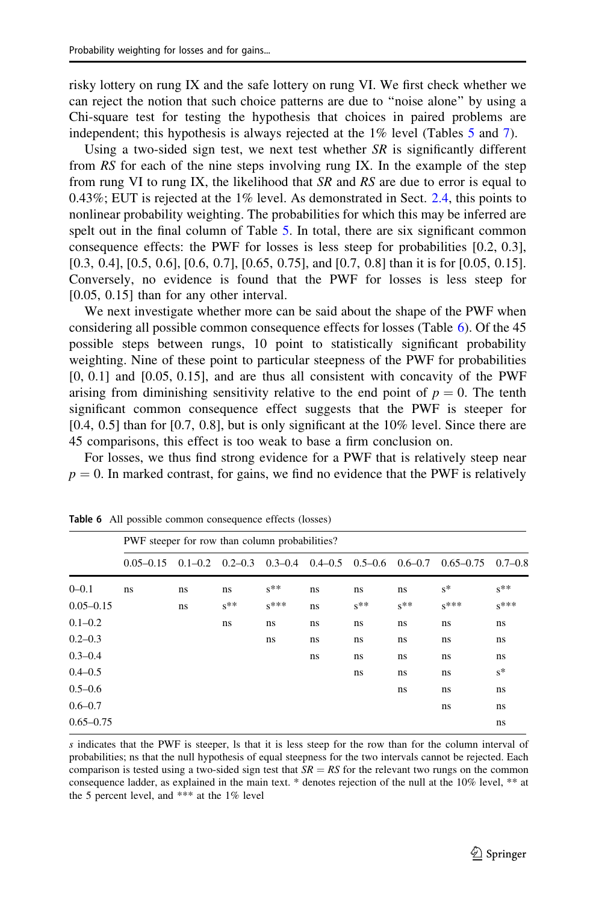<span id="page-26-0"></span>risky lottery on rung IX and the safe lottery on rung VI. We first check whether we can reject the notion that such choice patterns are due to ''noise alone'' by using a Chi-square test for testing the hypothesis that choices in paired problems are independent; this hypothesis is always rejected at the 1% level (Tables [5](#page-25-0) and [7](#page-27-0)).

Using a two-sided sign test, we next test whether  $SR$  is significantly different from RS for each of the nine steps involving rung IX. In the example of the step from rung VI to rung IX, the likelihood that SR and RS are due to error is equal to 0.43%; EUT is rejected at the  $1\%$  level. As demonstrated in Sect. [2.4,](#page-12-0) this points to nonlinear probability weighting. The probabilities for which this may be inferred are spelt out in the final column of Table [5](#page-25-0). In total, there are six significant common consequence effects: the PWF for losses is less steep for probabilities [0.2, 0.3], [0.3, 0.4], [0.5, 0.6], [0.6, 0.7], [0.65, 0.75], and [0.7, 0.8] than it is for [0.05, 0.15]. Conversely, no evidence is found that the PWF for losses is less steep for [0.05, 0.15] than for any other interval.

We next investigate whether more can be said about the shape of the PWF when considering all possible common consequence effects for losses (Table 6). Of the 45 possible steps between rungs, 10 point to statistically significant probability weighting. Nine of these point to particular steepness of the PWF for probabilities  $[0, 0.1]$  and  $[0.05, 0.15]$ , and are thus all consistent with concavity of the PWF arising from diminishing sensitivity relative to the end point of  $p = 0$ . The tenth significant common consequence effect suggests that the PWF is steeper for [0.4, 0.5] than for [0.7, 0.8], but is only significant at the 10% level. Since there are 45 comparisons, this effect is too weak to base a firm conclusion on.

For losses, we thus find strong evidence for a PWF that is relatively steep near  $p = 0$ . In marked contrast, for gains, we find no evidence that the PWF is relatively

|               | PWF steeper for row than column probabilities? |                         |                |                |    |          |          |                                                     |                |
|---------------|------------------------------------------------|-------------------------|----------------|----------------|----|----------|----------|-----------------------------------------------------|----------------|
|               | $0.05 - 0.15$                                  | $0.1 - 0.2$ $0.2 - 0.3$ |                |                |    |          |          | $0.3-0.4$ $0.4-0.5$ $0.5-0.6$ $0.6-0.7$ $0.65-0.75$ | $0.7 - 0.8$    |
| $0 - 0.1$     | ns.                                            | ns                      | ns             | $S^{\ast\ast}$ | ns | ns       | ns       | $s^*$                                               | $S^{\ast\ast}$ |
| $0.05 - 0.15$ |                                                | ns                      | $S^{\ast\ast}$ | $s***$         | ns | $s^{**}$ | $s^{**}$ | $S$ ***                                             | $s***$         |
| $0.1 - 0.2$   |                                                |                         | ns.            | ns             | ns | ns       | ns       | ns                                                  | ns             |
| $0.2 - 0.3$   |                                                |                         |                | ns             | ns | ns       | ns       | ns                                                  | ns             |
| $0.3 - 0.4$   |                                                |                         |                |                | ns | ns       | ns       | ns                                                  | ns             |
| $0.4 - 0.5$   |                                                |                         |                |                |    | ns       | ns       | ns                                                  | $s^*$          |
| $0.5 - 0.6$   |                                                |                         |                |                |    |          | ns       | ns.                                                 | ns             |
| $0.6 - 0.7$   |                                                |                         |                |                |    |          |          | ns                                                  | ns             |
| $0.65 - 0.75$ |                                                |                         |                |                |    |          |          |                                                     | ns             |

Table 6 All possible common consequence effects (losses)

s indicates that the PWF is steeper, ls that it is less steep for the row than for the column interval of probabilities; ns that the null hypothesis of equal steepness for the two intervals cannot be rejected. Each comparison is tested using a two-sided sign test that  $SR = RS$  for the relevant two rungs on the common consequence ladder, as explained in the main text. \* denotes rejection of the null at the 10% level, \*\* at the 5 percent level, and \*\*\* at the 1% level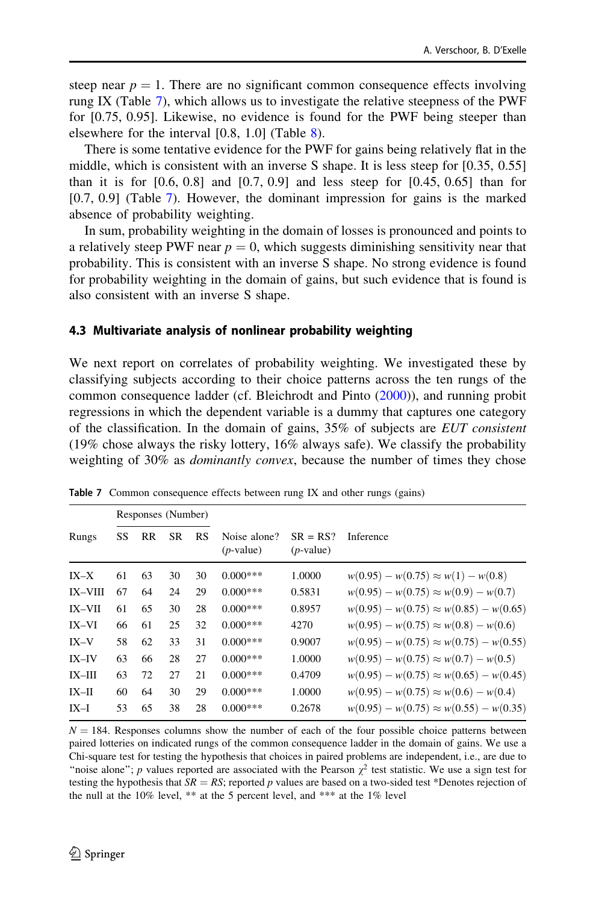<span id="page-27-0"></span>steep near  $p = 1$ . There are no significant common consequence effects involving rung IX (Table 7), which allows us to investigate the relative steepness of the PWF for [0.75, 0.95]. Likewise, no evidence is found for the PWF being steeper than elsewhere for the interval [0.8, 1.0] (Table [8](#page-28-0)).

There is some tentative evidence for the PWF for gains being relatively flat in the middle, which is consistent with an inverse S shape. It is less steep for [0.35, 0.55] than it is for  $[0.6, 0.8]$  and  $[0.7, 0.9]$  and less steep for  $[0.45, 0.65]$  than for [0.7, 0.9] (Table 7). However, the dominant impression for gains is the marked absence of probability weighting.

In sum, probability weighting in the domain of losses is pronounced and points to a relatively steep PWF near  $p = 0$ , which suggests diminishing sensitivity near that probability. This is consistent with an inverse S shape. No strong evidence is found for probability weighting in the domain of gains, but such evidence that is found is also consistent with an inverse S shape.

#### 4.3 Multivariate analysis of nonlinear probability weighting

We next report on correlates of probability weighting. We investigated these by classifying subjects according to their choice patterns across the ten rungs of the common consequence ladder (cf. Bleichrodt and Pinto ([2000\)](#page-34-0)), and running probit regressions in which the dependent variable is a dummy that captures one category of the classification. In the domain of gains, 35% of subjects are EUT consistent (19% chose always the risky lottery, 16% always safe). We classify the probability weighting of 30% as dominantly convex, because the number of times they chose

|               |    | Responses (Number) |           |           |                              |                            |                                               |
|---------------|----|--------------------|-----------|-----------|------------------------------|----------------------------|-----------------------------------------------|
| Rungs         | SS | RR                 | <b>SR</b> | <b>RS</b> | Noise alone?<br>$(p$ -value) | $SR = RS?$<br>$(p$ -value) | Inference                                     |
| $IX-X$        | 61 | 63                 | 30        | 30        | $0.000***$                   | 1.0000                     | $w(0.95) - w(0.75) \approx w(1) - w(0.8)$     |
| IX-VIII       | 67 | 64                 | 24        | 29        | $0.000***$                   | 0.5831                     | $w(0.95) - w(0.75) \approx w(0.9) - w(0.7)$   |
| <b>IX-VII</b> | 61 | 65                 | 30        | 28        | $0.000***$                   | 0.8957                     | $w(0.95) - w(0.75) \approx w(0.85) - w(0.65)$ |
| $IX-VI$       | 66 | 61                 | 25        | 32        | $0.000***$                   | 4270                       | $w(0.95) - w(0.75) \approx w(0.8) - w(0.6)$   |
| $IX-V$        | 58 | 62                 | 33        | 31        | $0.000***$                   | 0.9007                     | $w(0.95) - w(0.75) \approx w(0.75) - w(0.55)$ |
| $IX - IV$     | 63 | 66                 | 28        | 27        | $0.000***$                   | 1.0000                     | $w(0.95) - w(0.75) \approx w(0.7) - w(0.5)$   |
| $IX$ - $III$  | 63 | 72                 | 27        | 21        | $0.000***$                   | 0.4709                     | $w(0.95) - w(0.75) \approx w(0.65) - w(0.45)$ |
| $IX-H$        | 60 | 64                 | 30        | 29        | $0.000***$                   | 1.0000                     | $w(0.95) - w(0.75) \approx w(0.6) - w(0.4)$   |
| $IX-I$        | 53 | 65                 | 38        | 28        | $0.000***$                   | 0.2678                     | $w(0.95) - w(0.75) \approx w(0.55) - w(0.35)$ |

Table 7 Common consequence effects between rung IX and other rungs (gains)

 $N = 184$ . Responses columns show the number of each of the four possible choice patterns between paired lotteries on indicated rungs of the common consequence ladder in the domain of gains. We use a Chi-square test for testing the hypothesis that choices in paired problems are independent, i.e., are due to "noise alone"; p values reported are associated with the Pearson  $\chi^2$  test statistic. We use a sign test for testing the hypothesis that  $SR = RS$ ; reported p values are based on a two-sided test \*Denotes rejection of the null at the 10% level, \*\* at the 5 percent level, and \*\*\* at the 1% level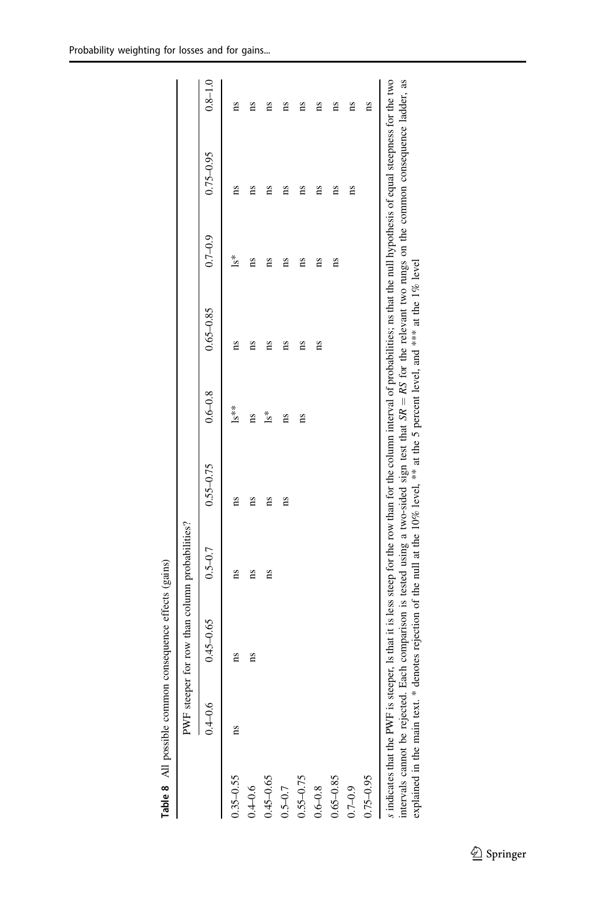|               |             | PWF steeper for row than column probabilities? |             |               |             |                                                                                                                                  |             |                                                                                                                                                                                                                                                                                                                                                         |             |
|---------------|-------------|------------------------------------------------|-------------|---------------|-------------|----------------------------------------------------------------------------------------------------------------------------------|-------------|---------------------------------------------------------------------------------------------------------------------------------------------------------------------------------------------------------------------------------------------------------------------------------------------------------------------------------------------------------|-------------|
|               | $0.4 - 0.6$ | $0.45 - 0.65$                                  | $0.5 - 0.7$ | $0.55 - 0.75$ | $0.6 - 0.8$ | $0.65 - 0.85$                                                                                                                    | $0.7 - 0.9$ | $0.75 - 0.95$                                                                                                                                                                                                                                                                                                                                           | $0.8 - 1.0$ |
| $0.35 - 0.55$ | ns          | ns                                             | ns          | Ξ             | $1s**$      | ns                                                                                                                               | ¦s*         | ns                                                                                                                                                                                                                                                                                                                                                      | ns          |
| $0.4 - 0.6$   |             | ns                                             | ns          | m             | ms          | ns                                                                                                                               | ns          | ns                                                                                                                                                                                                                                                                                                                                                      | ns          |
| $0.45 - 0.65$ |             |                                                | 1S          | m             | ls*         | ns                                                                                                                               | ns          | ns                                                                                                                                                                                                                                                                                                                                                      | as          |
| $0.5 - 0.7$   |             |                                                |             | m             | ns          | ns                                                                                                                               | ns          | ns                                                                                                                                                                                                                                                                                                                                                      | ns          |
| 0.55-0.75     |             |                                                |             |               | ns          | ns                                                                                                                               | ns          | ns                                                                                                                                                                                                                                                                                                                                                      | ns          |
| $0.6 - 0.8$   |             |                                                |             |               |             | 1S                                                                                                                               | ns          | ns                                                                                                                                                                                                                                                                                                                                                      | ns          |
| $0.65 - 0.85$ |             |                                                |             |               |             |                                                                                                                                  | ns          | ns                                                                                                                                                                                                                                                                                                                                                      | ns          |
| $0.7 - 0.9$   |             |                                                |             |               |             |                                                                                                                                  |             | ns                                                                                                                                                                                                                                                                                                                                                      | ns          |
| 1.75-0.95     |             |                                                |             |               |             |                                                                                                                                  |             |                                                                                                                                                                                                                                                                                                                                                         | 1S          |
|               |             |                                                |             |               |             | explained in the main text. * denotes rejection of the null at the 10% level, ** at the 5 percent level, and *** at the 1% level |             | indicates that the PWF is steeper, Is that it is less steep for the row than for the column interval of probabilities; ns that the null hypothesis of equal steepness for the two<br>intervals cannot be rejected. Each comparison is tested using a two-sided sign test that $SR = RS$ for the relevant two rungs on the common consequence ladder, as |             |

<span id="page-28-0"></span>Probability weighting for losses and for gains...

Table 8 All possible common consequence effects (gains)

Table 8 All possible common consequence effects (gains)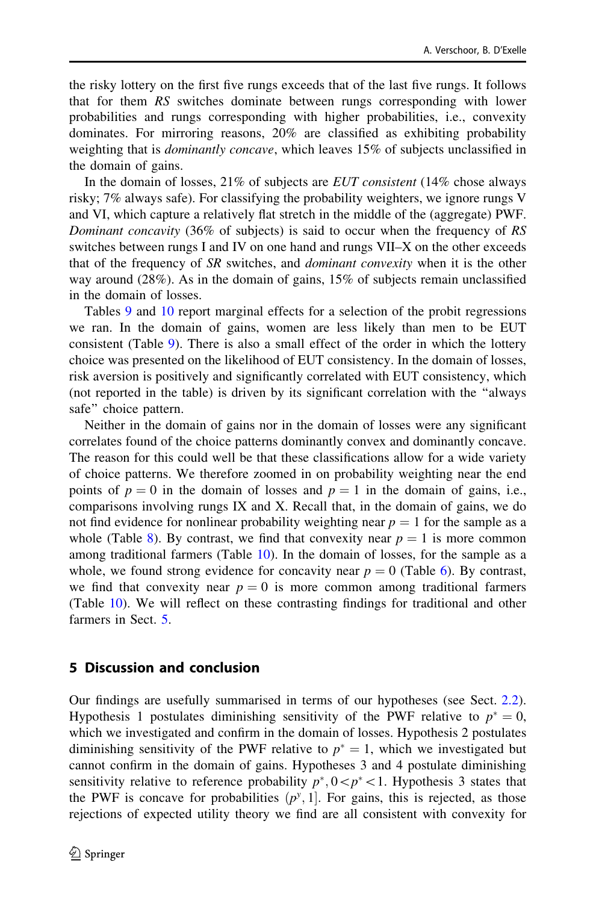<span id="page-29-0"></span>the risky lottery on the first five rungs exceeds that of the last five rungs. It follows that for them RS switches dominate between rungs corresponding with lower probabilities and rungs corresponding with higher probabilities, i.e., convexity dominates. For mirroring reasons, 20% are classified as exhibiting probability weighting that is dominantly concave, which leaves 15% of subjects unclassified in the domain of gains.

In the domain of losses,  $21\%$  of subjects are *EUT consistent* ( $14\%$  chose always risky; 7% always safe). For classifying the probability weighters, we ignore rungs V and VI, which capture a relatively flat stretch in the middle of the (aggregate) PWF. Dominant concavity (36% of subjects) is said to occur when the frequency of RS switches between rungs I and IV on one hand and rungs VII–X on the other exceeds that of the frequency of SR switches, and *dominant convexity* when it is the other way around (28%). As in the domain of gains, 15% of subjects remain unclassified in the domain of losses.

Tables [9](#page-30-0) and [10](#page-31-0) report marginal effects for a selection of the probit regressions we ran. In the domain of gains, women are less likely than men to be EUT consistent (Table [9](#page-30-0)). There is also a small effect of the order in which the lottery choice was presented on the likelihood of EUT consistency. In the domain of losses, risk aversion is positively and significantly correlated with EUT consistency, which (not reported in the table) is driven by its significant correlation with the ''always safe'' choice pattern.

Neither in the domain of gains nor in the domain of losses were any significant correlates found of the choice patterns dominantly convex and dominantly concave. The reason for this could well be that these classifications allow for a wide variety of choice patterns. We therefore zoomed in on probability weighting near the end points of  $p = 0$  in the domain of losses and  $p = 1$  in the domain of gains, i.e., comparisons involving rungs IX and X. Recall that, in the domain of gains, we do not find evidence for nonlinear probability weighting near  $p = 1$  for the sample as a whole (Table [8](#page-28-0)). By contrast, we find that convexity near  $p = 1$  is more common among traditional farmers (Table [10](#page-31-0)). In the domain of losses, for the sample as a whole, we found strong evidence for concavity near  $p = 0$  (Table [6\)](#page-26-0). By contrast, we find that convexity near  $p = 0$  is more common among traditional farmers (Table [10](#page-31-0)). We will reflect on these contrasting findings for traditional and other farmers in Sect. 5.

## 5 Discussion and conclusion

Our findings are usefully summarised in terms of our hypotheses (see Sect. [2.2\)](#page-7-0). Hypothesis 1 postulates diminishing sensitivity of the PWF relative to  $p^* = 0$ , which we investigated and confirm in the domain of losses. Hypothesis 2 postulates diminishing sensitivity of the PWF relative to  $p^* = 1$ , which we investigated but cannot confirm in the domain of gains. Hypotheses 3 and 4 postulate diminishing sensitivity relative to reference probability  $p^*$ ,  $0< p^*$ <1. Hypothesis 3 states that the PWF is concave for probabilities  $(p^y, 1]$ . For gains, this is rejected, as those rejections of expected utility theory we find are all consistent with convexity for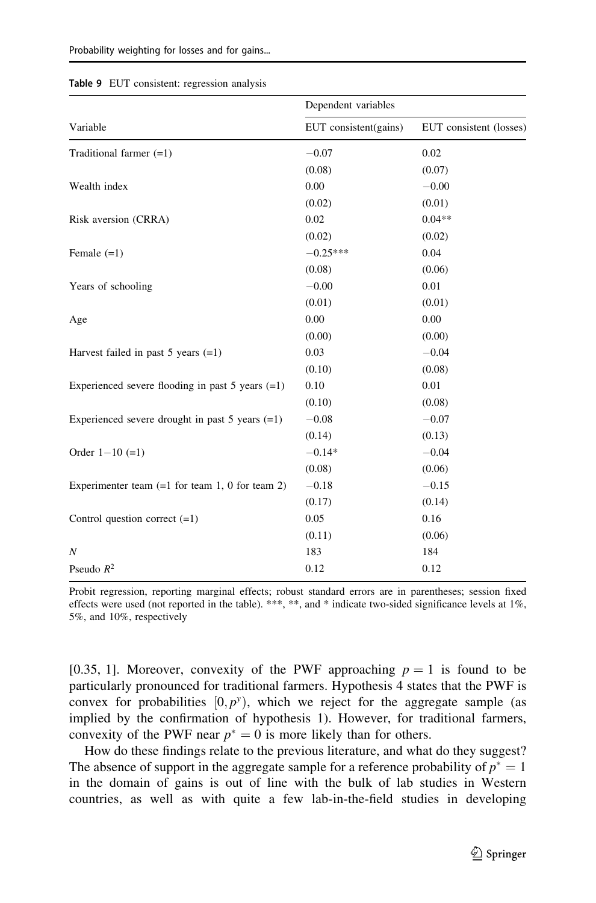|                                                      | Dependent variables   |                         |
|------------------------------------------------------|-----------------------|-------------------------|
| Variable                                             | EUT consistent(gains) | EUT consistent (losses) |
| Traditional farmer $(=1)$                            | $-0.07$               | 0.02                    |
|                                                      | (0.08)                | (0.07)                  |
| Wealth index                                         | 0.00                  | $-0.00$                 |
|                                                      | (0.02)                | (0.01)                  |
| Risk aversion (CRRA)                                 | 0.02                  | $0.04**$                |
|                                                      | (0.02)                | (0.02)                  |
| Female $(=1)$                                        | $-0.25***$            | 0.04                    |
|                                                      | (0.08)                | (0.06)                  |
| Years of schooling                                   | $-0.00$               | 0.01                    |
|                                                      | (0.01)                | (0.01)                  |
| Age                                                  | 0.00                  | 0.00                    |
|                                                      | (0.00)                | (0.00)                  |
| Harvest failed in past $5$ years $(=1)$              | 0.03                  | $-0.04$                 |
|                                                      | (0.10)                | (0.08)                  |
| Experienced severe flooding in past $5$ years $(=1)$ | 0.10                  | 0.01                    |
|                                                      | (0.10)                | (0.08)                  |
| Experienced severe drought in past $5$ years $(=1)$  | $-0.08$               | $-0.07$                 |
|                                                      | (0.14)                | (0.13)                  |
| Order $1 - 10 (=1)$                                  | $-0.14*$              | $-0.04$                 |
|                                                      | (0.08)                | (0.06)                  |
| Experimenter team $(=1$ for team 1, 0 for team 2)    | $-0.18$               | $-0.15$                 |
|                                                      | (0.17)                | (0.14)                  |
| Control question correct $(=1)$                      | 0.05                  | 0.16                    |
|                                                      | (0.11)                | (0.06)                  |
| $\boldsymbol{N}$                                     | 183                   | 184                     |
| Pseudo $R^2$                                         | 0.12                  | 0.12                    |

#### <span id="page-30-0"></span>Table 9 EUT consistent: regression analysis

Probit regression, reporting marginal effects; robust standard errors are in parentheses; session fixed effects were used (not reported in the table). \*\*\*, \*\*, and \* indicate two-sided significance levels at 1%, 5%, and 10%, respectively

[0.35, 1]. Moreover, convexity of the PWF approaching  $p = 1$  is found to be particularly pronounced for traditional farmers. Hypothesis 4 states that the PWF is convex for probabilities  $[0, p^y)$ , which we reject for the aggregate sample (as implied by the confirmation of hypothesis 1). However, for traditional farmers, convexity of the PWF near  $p^* = 0$  is more likely than for others.

How do these findings relate to the previous literature, and what do they suggest? The absence of support in the aggregate sample for a reference probability of  $p^* = 1$ in the domain of gains is out of line with the bulk of lab studies in Western countries, as well as with quite a few lab-in-the-field studies in developing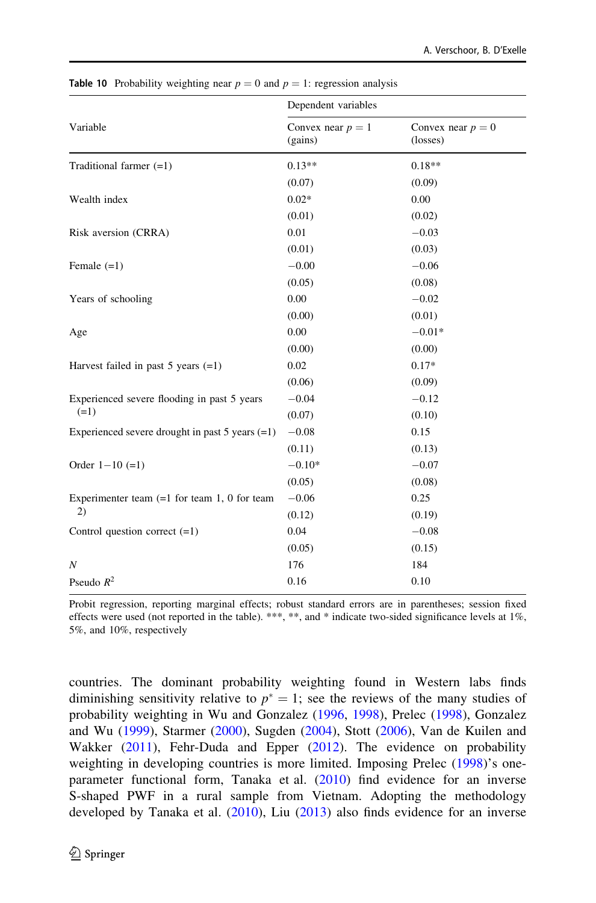|                                                     | Dependent variables            |                                 |
|-----------------------------------------------------|--------------------------------|---------------------------------|
| Variable                                            | Convex near $p = 1$<br>(gains) | Convex near $p = 0$<br>(losses) |
| Traditional farmer $(=1)$                           | $0.13**$                       | $0.18**$                        |
|                                                     | (0.07)                         | (0.09)                          |
| Wealth index                                        | $0.02*$                        | 0.00                            |
|                                                     | (0.01)                         | (0.02)                          |
| Risk aversion (CRRA)                                | 0.01                           | $-0.03$                         |
|                                                     | (0.01)                         | (0.03)                          |
| Female $(=1)$                                       | $-0.00$                        | $-0.06$                         |
|                                                     | (0.05)                         | (0.08)                          |
| Years of schooling                                  | 0.00                           | $-0.02$                         |
|                                                     | (0.00)                         | (0.01)                          |
| Age                                                 | 0.00                           | $-0.01*$                        |
|                                                     | (0.00)                         | (0.00)                          |
| Harvest failed in past $5$ years $(=1)$             | 0.02                           | $0.17*$                         |
|                                                     | (0.06)                         | (0.09)                          |
| Experienced severe flooding in past 5 years         | $-0.04$                        | $-0.12$                         |
| $(=1)$                                              | (0.07)                         | (0.10)                          |
| Experienced severe drought in past $5$ years $(=1)$ | $-0.08$                        | 0.15                            |
|                                                     | (0.11)                         | (0.13)                          |
| Order $1 - 10 (=1)$                                 | $-0.10*$                       | $-0.07$                         |
|                                                     | (0.05)                         | (0.08)                          |
| Experimenter team $(=1$ for team 1, 0 for team      | $-0.06$                        | 0.25                            |
| 2)                                                  | (0.12)                         | (0.19)                          |
| Control question correct $(=1)$                     | 0.04                           | $-0.08$                         |
|                                                     | (0.05)                         | (0.15)                          |
| $\overline{N}$                                      | 176                            | 184                             |
| Pseudo $R^2$                                        | 0.16                           | 0.10                            |
|                                                     |                                |                                 |

<span id="page-31-0"></span>**Table 10** Probability weighting near  $p = 0$  and  $p = 1$ : regression analysis

Probit regression, reporting marginal effects; robust standard errors are in parentheses; session fixed effects were used (not reported in the table). \*\*\*, \*\*, and \* indicate two-sided significance levels at 1%, 5%, and 10%, respectively

countries. The dominant probability weighting found in Western labs finds diminishing sensitivity relative to  $p^* = 1$ ; see the reviews of the many studies of probability weighting in Wu and Gonzalez [\(1996,](#page-35-0) [1998\)](#page-35-0), Prelec [\(1998](#page-35-0)), Gonzalez and Wu ([1999\)](#page-34-0), Starmer ([2000\)](#page-35-0), Sugden [\(2004](#page-35-0)), Stott ([2006](#page-35-0)), Van de Kuilen and Wakker ([2011\)](#page-35-0), Fehr-Duda and Epper [\(2012](#page-34-0)). The evidence on probability weighting in developing countries is more limited. Imposing Prelec ([1998](#page-35-0))'s one-parameter functional form, Tanaka et al. [\(2010](#page-35-0)) find evidence for an inverse S-shaped PWF in a rural sample from Vietnam. Adopting the methodology developed by Tanaka et al. ([2010](#page-35-0)), Liu [\(2013](#page-35-0)) also finds evidence for an inverse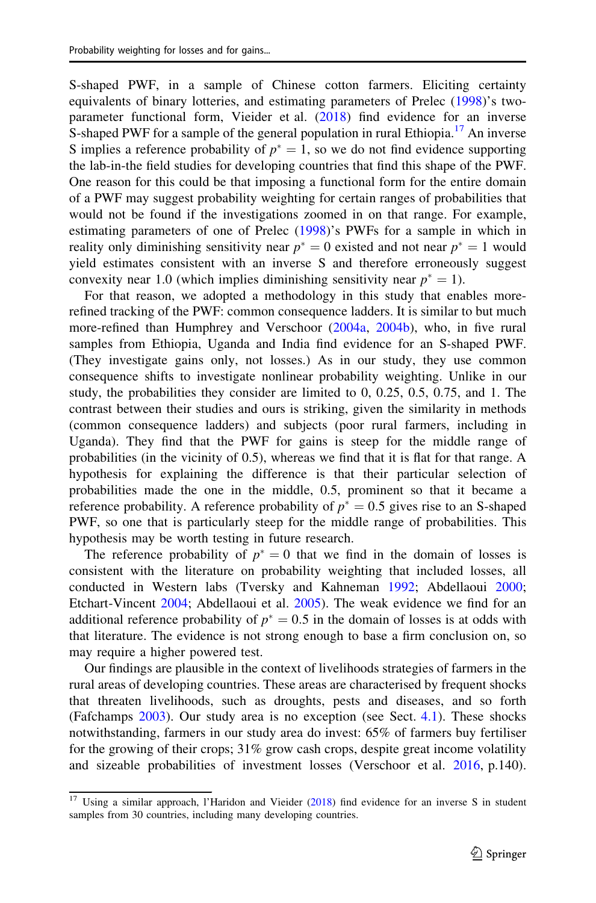S-shaped PWF, in a sample of Chinese cotton farmers. Eliciting certainty equivalents of binary lotteries, and estimating parameters of Prelec ([1998\)](#page-35-0)'s twoparameter functional form, Vieider et al. ([2018\)](#page-35-0) find evidence for an inverse S-shaped PWF for a sample of the general population in rural Ethiopia.<sup>17</sup> An inverse S implies a reference probability of  $p^* = 1$ , so we do not find evidence supporting the lab-in-the field studies for developing countries that find this shape of the PWF. One reason for this could be that imposing a functional form for the entire domain of a PWF may suggest probability weighting for certain ranges of probabilities that would not be found if the investigations zoomed in on that range. For example, estimating parameters of one of Prelec ([1998\)](#page-35-0)'s PWFs for a sample in which in reality only diminishing sensitivity near  $p^* = 0$  existed and not near  $p^* = 1$  would yield estimates consistent with an inverse S and therefore erroneously suggest convexity near 1.0 (which implies diminishing sensitivity near  $p^* = 1$ ).

For that reason, we adopted a methodology in this study that enables morerefined tracking of the PWF: common consequence ladders. It is similar to but much more-refined than Humphrey and Verschoor ([2004a](#page-34-0), [2004b](#page-34-0)), who, in five rural samples from Ethiopia, Uganda and India find evidence for an S-shaped PWF. (They investigate gains only, not losses.) As in our study, they use common consequence shifts to investigate nonlinear probability weighting. Unlike in our study, the probabilities they consider are limited to 0, 0.25, 0.5, 0.75, and 1. The contrast between their studies and ours is striking, given the similarity in methods (common consequence ladders) and subjects (poor rural farmers, including in Uganda). They find that the PWF for gains is steep for the middle range of probabilities (in the vicinity of 0.5), whereas we find that it is flat for that range. A hypothesis for explaining the difference is that their particular selection of probabilities made the one in the middle, 0.5, prominent so that it became a reference probability. A reference probability of  $p^* = 0.5$  gives rise to an S-shaped PWF, so one that is particularly steep for the middle range of probabilities. This hypothesis may be worth testing in future research.

The reference probability of  $p^* = 0$  that we find in the domain of losses is consistent with the literature on probability weighting that included losses, all conducted in Western labs (Tversky and Kahneman [1992](#page-35-0); Abdellaoui [2000;](#page-34-0) Etchart-Vincent [2004;](#page-34-0) Abdellaoui et al. [2005\)](#page-34-0). The weak evidence we find for an additional reference probability of  $p^* = 0.5$  in the domain of losses is at odds with that literature. The evidence is not strong enough to base a firm conclusion on, so may require a higher powered test.

Our findings are plausible in the context of livelihoods strategies of farmers in the rural areas of developing countries. These areas are characterised by frequent shocks that threaten livelihoods, such as droughts, pests and diseases, and so forth (Fafchamps [2003](#page-34-0)). Our study area is no exception (see Sect. [4.1](#page-21-0)). These shocks notwithstanding, farmers in our study area do invest: 65% of farmers buy fertiliser for the growing of their crops; 31% grow cash crops, despite great income volatility and sizeable probabilities of investment losses (Verschoor et al. [2016](#page-35-0), p.140).

<sup>&</sup>lt;sup>17</sup> Using a similar approach, l'Haridon and Vieider [\(2018](#page-34-0)) find evidence for an inverse S in student samples from 30 countries, including many developing countries.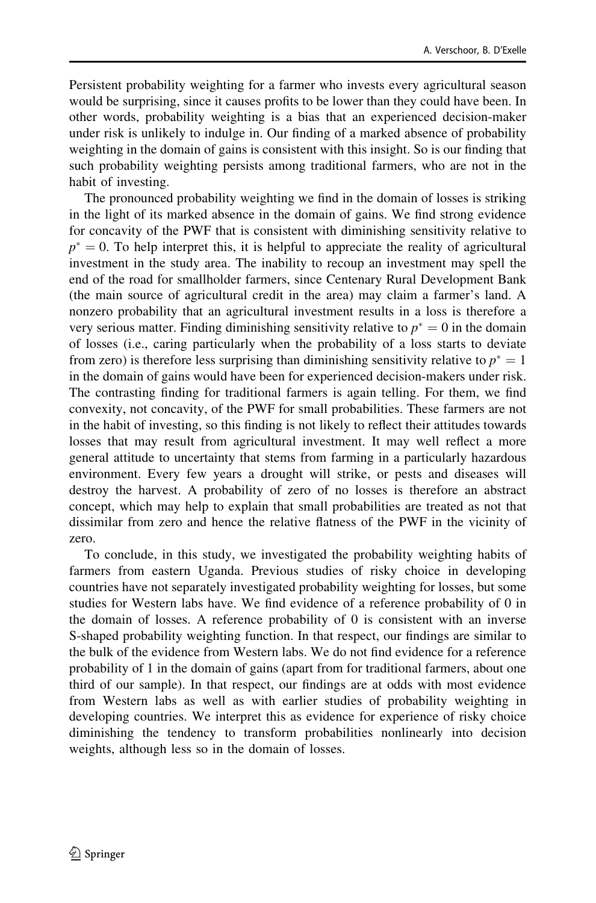Persistent probability weighting for a farmer who invests every agricultural season would be surprising, since it causes profits to be lower than they could have been. In other words, probability weighting is a bias that an experienced decision-maker under risk is unlikely to indulge in. Our finding of a marked absence of probability weighting in the domain of gains is consistent with this insight. So is our finding that such probability weighting persists among traditional farmers, who are not in the habit of investing.

The pronounced probability weighting we find in the domain of losses is striking in the light of its marked absence in the domain of gains. We find strong evidence for concavity of the PWF that is consistent with diminishing sensitivity relative to  $p^* = 0$ . To help interpret this, it is helpful to appreciate the reality of agricultural investment in the study area. The inability to recoup an investment may spell the end of the road for smallholder farmers, since Centenary Rural Development Bank (the main source of agricultural credit in the area) may claim a farmer's land. A nonzero probability that an agricultural investment results in a loss is therefore a very serious matter. Finding diminishing sensitivity relative to  $p^* = 0$  in the domain of losses (i.e., caring particularly when the probability of a loss starts to deviate from zero) is therefore less surprising than diminishing sensitivity relative to  $p^* = 1$ in the domain of gains would have been for experienced decision-makers under risk. The contrasting finding for traditional farmers is again telling. For them, we find convexity, not concavity, of the PWF for small probabilities. These farmers are not in the habit of investing, so this finding is not likely to reflect their attitudes towards losses that may result from agricultural investment. It may well reflect a more general attitude to uncertainty that stems from farming in a particularly hazardous environment. Every few years a drought will strike, or pests and diseases will destroy the harvest. A probability of zero of no losses is therefore an abstract concept, which may help to explain that small probabilities are treated as not that dissimilar from zero and hence the relative flatness of the PWF in the vicinity of zero.

To conclude, in this study, we investigated the probability weighting habits of farmers from eastern Uganda. Previous studies of risky choice in developing countries have not separately investigated probability weighting for losses, but some studies for Western labs have. We find evidence of a reference probability of 0 in the domain of losses. A reference probability of 0 is consistent with an inverse S-shaped probability weighting function. In that respect, our findings are similar to the bulk of the evidence from Western labs. We do not find evidence for a reference probability of 1 in the domain of gains (apart from for traditional farmers, about one third of our sample). In that respect, our findings are at odds with most evidence from Western labs as well as with earlier studies of probability weighting in developing countries. We interpret this as evidence for experience of risky choice diminishing the tendency to transform probabilities nonlinearly into decision weights, although less so in the domain of losses.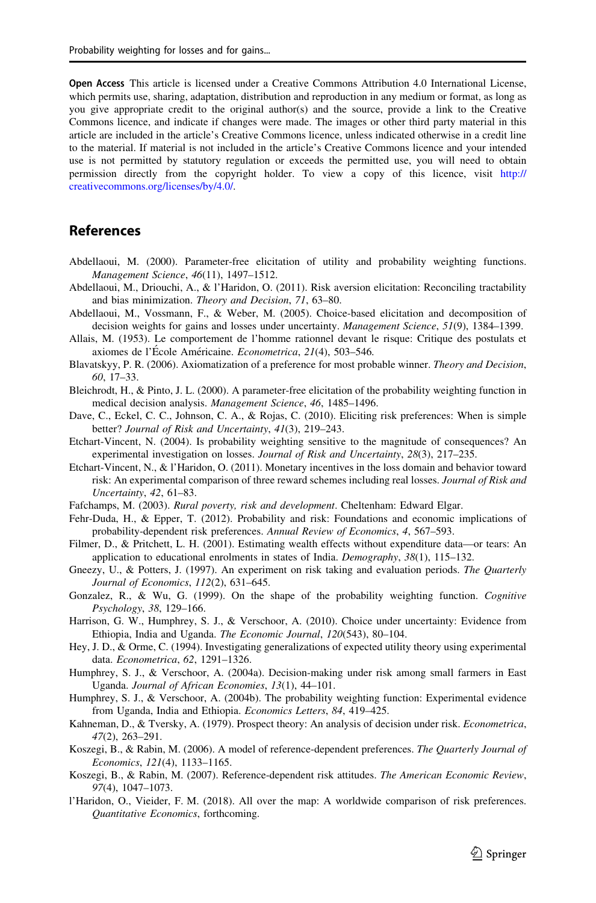<span id="page-34-0"></span>Open Access This article is licensed under a Creative Commons Attribution 4.0 International License, which permits use, sharing, adaptation, distribution and reproduction in any medium or format, as long as you give appropriate credit to the original author(s) and the source, provide a link to the Creative Commons licence, and indicate if changes were made. The images or other third party material in this article are included in the article's Creative Commons licence, unless indicated otherwise in a credit line to the material. If material is not included in the article's Creative Commons licence and your intended use is not permitted by statutory regulation or exceeds the permitted use, you will need to obtain permission directly from the copyright holder. To view a copy of this licence, visit [http://](http://creativecommons.org/licenses/by/4.0/) [creativecommons.org/licenses/by/4.0/.](http://creativecommons.org/licenses/by/4.0/)

### References

- Abdellaoui, M. (2000). Parameter-free elicitation of utility and probability weighting functions. Management Science, 46(11), 1497–1512.
- Abdellaoui, M., Driouchi, A., & l'Haridon, O. (2011). Risk aversion elicitation: Reconciling tractability and bias minimization. Theory and Decision, 71, 63–80.
- Abdellaoui, M., Vossmann, F., & Weber, M. (2005). Choice-based elicitation and decomposition of decision weights for gains and losses under uncertainty. *Management Science*, 51(9), 1384–1399.
- Allais, M. (1953). Le comportement de l'homme rationnel devant le risque: Critique des postulats et axiomes de l'École Américaine. Econometrica, 21(4), 503-546.
- Blavatskyy, P. R. (2006). Axiomatization of a preference for most probable winner. *Theory and Decision*, 60, 17–33.
- Bleichrodt, H., & Pinto, J. L. (2000). A parameter-free elicitation of the probability weighting function in medical decision analysis. Management Science, 46, 1485–1496.
- Dave, C., Eckel, C. C., Johnson, C. A., & Rojas, C. (2010). Eliciting risk preferences: When is simple better? Journal of Risk and Uncertainty, 41(3), 219–243.
- Etchart-Vincent, N. (2004). Is probability weighting sensitive to the magnitude of consequences? An experimental investigation on losses. Journal of Risk and Uncertainty, 28(3), 217–235.
- Etchart-Vincent, N., & l'Haridon, O. (2011). Monetary incentives in the loss domain and behavior toward risk: An experimental comparison of three reward schemes including real losses. Journal of Risk and Uncertainty, 42, 61–83.
- Fafchamps, M. (2003). Rural poverty, risk and development. Cheltenham: Edward Elgar.
- Fehr-Duda, H., & Epper, T. (2012). Probability and risk: Foundations and economic implications of probability-dependent risk preferences. Annual Review of Economics, 4, 567–593.
- Filmer, D., & Pritchett, L. H. (2001). Estimating wealth effects without expenditure data—or tears: An application to educational enrolments in states of India. Demography, 38(1), 115–132.
- Gneezy, U., & Potters, J. (1997). An experiment on risk taking and evaluation periods. The Quarterly Journal of Economics, 112(2), 631–645.
- Gonzalez, R., & Wu, G. (1999). On the shape of the probability weighting function. Cognitive Psychology, 38, 129–166.
- Harrison, G. W., Humphrey, S. J., & Verschoor, A. (2010). Choice under uncertainty: Evidence from Ethiopia, India and Uganda. The Economic Journal, 120(543), 80–104.
- Hey, J. D., & Orme, C. (1994). Investigating generalizations of expected utility theory using experimental data. Econometrica, 62, 1291–1326.
- Humphrey, S. J., & Verschoor, A. (2004a). Decision-making under risk among small farmers in East Uganda. Journal of African Economies, 13(1), 44–101.
- Humphrey, S. J., & Verschoor, A. (2004b). The probability weighting function: Experimental evidence from Uganda, India and Ethiopia. Economics Letters, 84, 419–425.
- Kahneman, D., & Tversky, A. (1979). Prospect theory: An analysis of decision under risk. Econometrica, 47(2), 263–291.
- Koszegi, B., & Rabin, M. (2006). A model of reference-dependent preferences. The Quarterly Journal of Economics, 121(4), 1133–1165.
- Koszegi, B., & Rabin, M. (2007). Reference-dependent risk attitudes. The American Economic Review, 97(4), 1047–1073.
- l'Haridon, O., Vieider, F. M. (2018). All over the map: A worldwide comparison of risk preferences. Quantitative Economics, forthcoming.